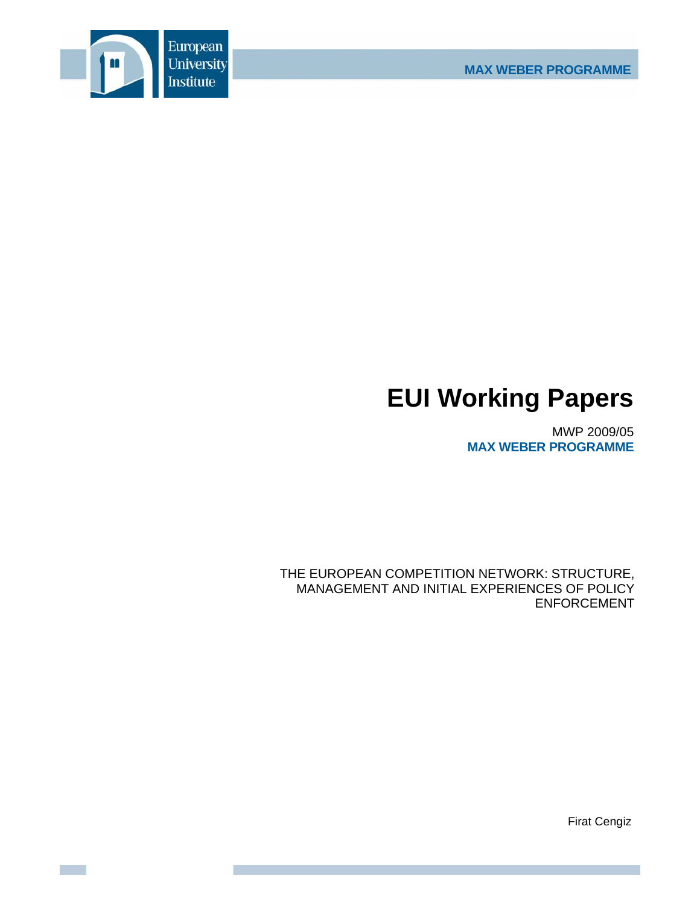

# **EUI Working Papers**

MWP 2009/05 **MAX WEBER PROGRAMME**

THE EUROPEAN COMPETITION NETWORK: STRUCTURE, MANAGEMENT AND INITIAL EXPERIENCES OF POLICY ENFORCEMENT

Firat Cengiz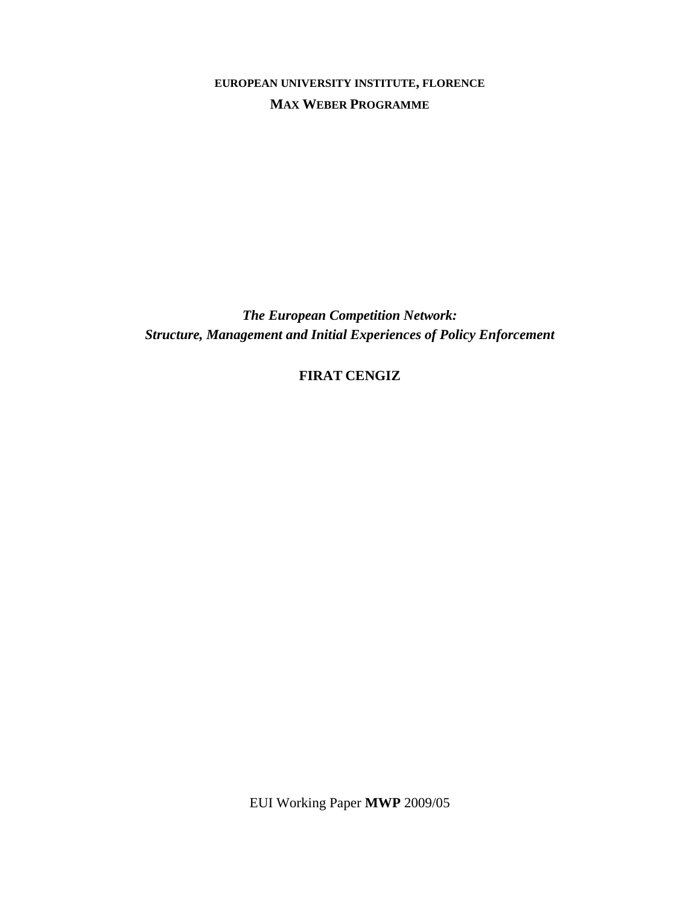**EUROPEAN UNIVERSITY INSTITUTE, FLORENCE MAX WEBER PROGRAMME**

*The European Competition Network: Structure, Management and Initial Experiences of Policy Enforcement* 

**FIRAT CENGIZ**

EUI Working Paper **MWP** 2009/05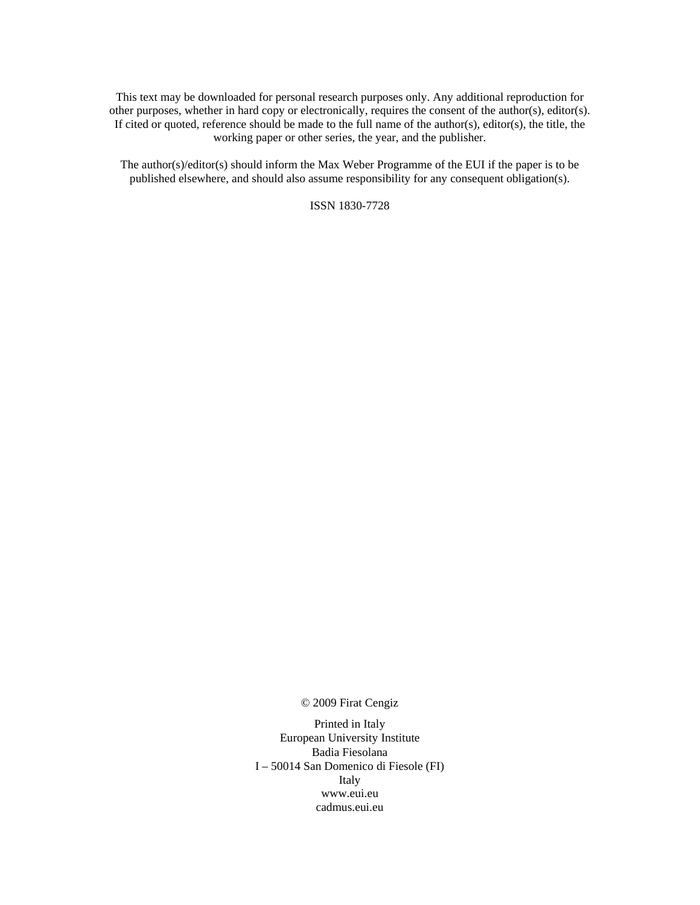This text may be downloaded for personal research purposes only. Any additional reproduction for other purposes, whether in hard copy or electronically, requires the consent of the author(s), editor(s). If cited or quoted, reference should be made to the full name of the author(s), editor(s), the title, the working paper or other series, the year, and the publisher.

The author(s)/editor(s) should inform the Max Weber Programme of the EUI if the paper is to be published elsewhere, and should also assume responsibility for any consequent obligation(s).

ISSN 1830-7728

© 2009 Firat Cengiz

Printed in Italy European University Institute Badia Fiesolana I – 50014 San Domenico di Fiesole (FI) Italy www.eui.eu cadmus.eui.eu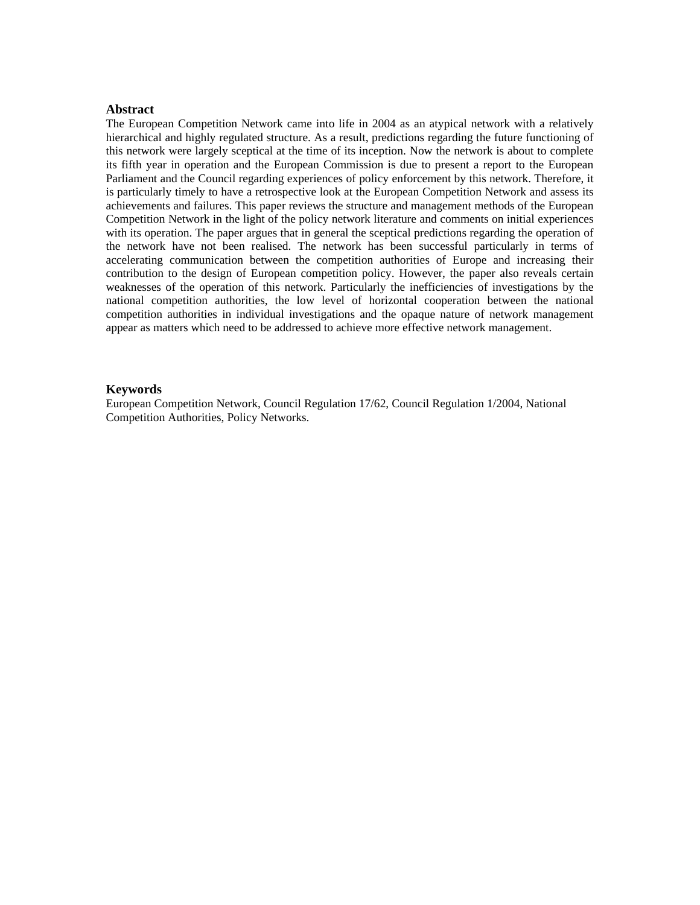# **Abstract**

The European Competition Network came into life in 2004 as an atypical network with a relatively hierarchical and highly regulated structure. As a result, predictions regarding the future functioning of this network were largely sceptical at the time of its inception. Now the network is about to complete its fifth year in operation and the European Commission is due to present a report to the European Parliament and the Council regarding experiences of policy enforcement by this network. Therefore, it is particularly timely to have a retrospective look at the European Competition Network and assess its achievements and failures. This paper reviews the structure and management methods of the European Competition Network in the light of the policy network literature and comments on initial experiences with its operation. The paper argues that in general the sceptical predictions regarding the operation of the network have not been realised. The network has been successful particularly in terms of accelerating communication between the competition authorities of Europe and increasing their contribution to the design of European competition policy. However, the paper also reveals certain weaknesses of the operation of this network. Particularly the inefficiencies of investigations by the national competition authorities, the low level of horizontal cooperation between the national competition authorities in individual investigations and the opaque nature of network management appear as matters which need to be addressed to achieve more effective network management.

## **Keywords**

European Competition Network, Council Regulation 17/62, Council Regulation 1/2004, National Competition Authorities, Policy Networks.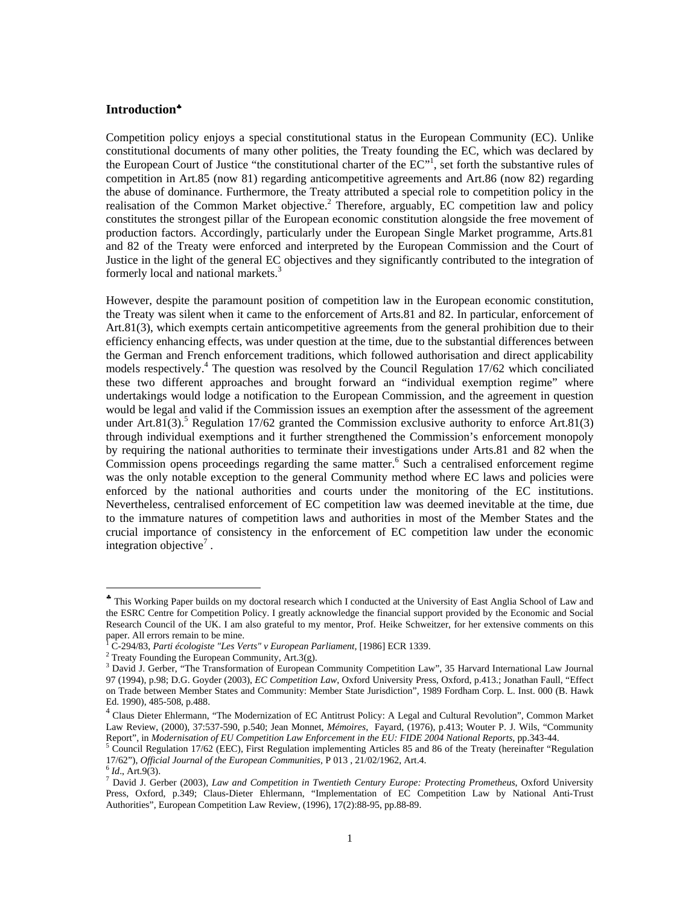# **Introduction**♣

Competition policy enjoys a special constitutional status in the European Community (EC). Unlike constitutional documents of many other polities, the Treaty founding the EC, which was declared by the European Court of Justice "the constitutional charter of the EC"<sup>1</sup>, set forth the substantive rules of competition in Art.85 (now 81) regarding anticompetitive agreements and Art.86 (now 82) regarding the abuse of dominance. Furthermore, the Treaty attributed a special role to competition policy in the realisation of the Common Market objective.<sup>2</sup> Therefore, arguably, EC competition law and policy constitutes the strongest pillar of the European economic constitution alongside the free movement of production factors. Accordingly, particularly under the European Single Market programme, Arts.81 and 82 of the Treaty were enforced and interpreted by the European Commission and the Court of Justice in the light of the general EC objectives and they significantly contributed to the integration of formerly local and national markets.<sup>3</sup>

However, despite the paramount position of competition law in the European economic constitution, the Treaty was silent when it came to the enforcement of Arts.81 and 82. In particular, enforcement of Art.81(3), which exempts certain anticompetitive agreements from the general prohibition due to their efficiency enhancing effects, was under question at the time, due to the substantial differences between the German and French enforcement traditions, which followed authorisation and direct applicability models respectively.<sup>4</sup> The question was resolved by the Council Regulation 17/62 which conciliated these two different approaches and brought forward an "individual exemption regime" where undertakings would lodge a notification to the European Commission, and the agreement in question would be legal and valid if the Commission issues an exemption after the assessment of the agreement under Art.81(3).<sup>5</sup> Regulation 17/62 granted the Commission exclusive authority to enforce Art.81(3) through individual exemptions and it further strengthened the Commission's enforcement monopoly by requiring the national authorities to terminate their investigations under Arts.81 and 82 when the Commission opens proceedings regarding the same matter. $6$  Such a centralised enforcement regime was the only notable exception to the general Community method where EC laws and policies were enforced by the national authorities and courts under the monitoring of the EC institutions. Nevertheless, centralised enforcement of EC competition law was deemed inevitable at the time, due to the immature natures of competition laws and authorities in most of the Member States and the crucial importance of consistency in the enforcement of EC competition law under the economic integration objective<sup>7</sup>.

<sup>♣</sup> This Working Paper builds on my doctoral research which I conducted at the University of East Anglia School of Law and the ESRC Centre for Competition Policy. I greatly acknowledge the financial support provided by the Economic and Social Research Council of the UK. I am also grateful to my mentor, Prof. Heike Schweitzer, for her extensive comments on this

paper. All errors remain to be mine.<br><sup>1</sup> C-294/83, *Parti écologiste "Les Verts" v European Parliament*, [1986] ECR 1339.<br><sup>2</sup> Traety Founding the European Community, Art 3(g)

<sup>&</sup>lt;sup>2</sup> Treaty Founding the European Community, Art.3(g).

<sup>&</sup>lt;sup>3</sup> David J. Gerber, "The Transformation of European Community Competition Law", 35 Harvard International Law Journal 97 (1994), p.98; D.G. Goyder (2003), *EC Competition Law*, Oxford University Press, Oxford, p.413.; Jonathan Faull, "Effect on Trade between Member States and Community: Member State Jurisdiction", 1989 Fordham Corp. L. Inst. 000 (B. Hawk Ed. 1990), 485-508, p.488.

<sup>&</sup>lt;sup>4</sup> Claus Dieter Ehlermann, "The Modernization of EC Antitrust Policy: A Legal and Cultural Revolution", Common Market Law Review, (2000), 37:537-590, p.540; Jean Monnet, *Mémoires*, Fayard, (1976), p.413; Wouter P. J. Wils, "Community Report", in *Modernisation of EU Competition Law Enforcement in the EU: FIDE 2004 National Reports*, pp.343-44.

 $5$  Council Regulation 17/62 (EEC), First Regulation implementing Articles 85 and 86 of the Treaty (hereinafter "Regulation 17/62"), *Official Journal of the European Communities,* P 013 , 21/02/1962, Art.4. 6 *Id*., Art.9(3). 7

David J. Gerber (2003), *Law and Competition in Twentieth Century Europe: Protecting Prometheus*, Oxford University Press, Oxford, p.349; Claus-Dieter Ehlermann, "Implementation of EC Competition Law by National Anti-Trust Authorities", European Competition Law Review, (1996), 17(2):88-95, pp.88-89.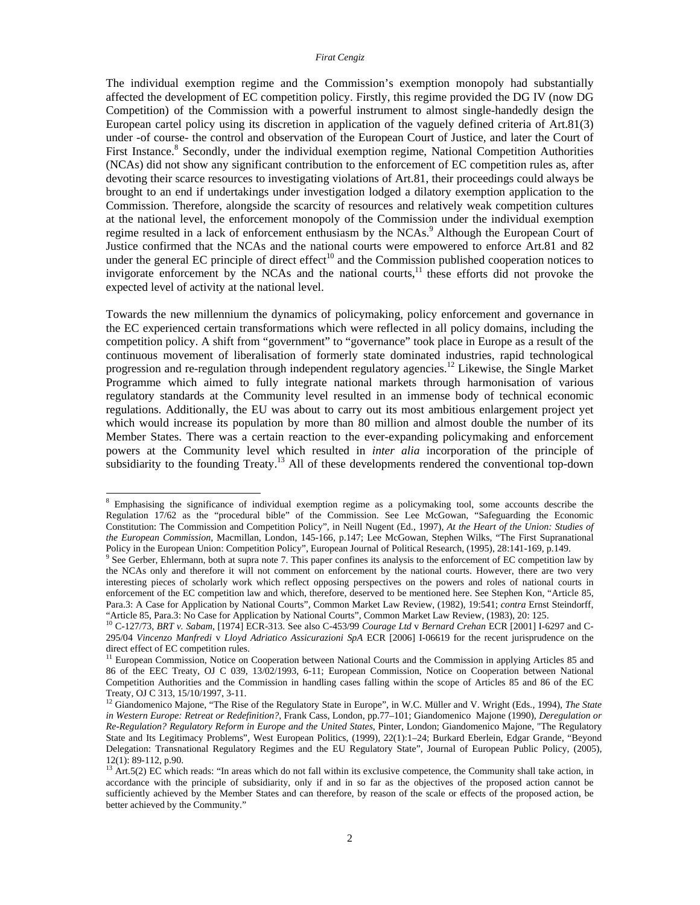The individual exemption regime and the Commission's exemption monopoly had substantially affected the development of EC competition policy. Firstly, this regime provided the DG IV (now DG Competition) of the Commission with a powerful instrument to almost single-handedly design the European cartel policy using its discretion in application of the vaguely defined criteria of Art.81(3) under -of course- the control and observation of the European Court of Justice, and later the Court of First Instance.<sup>8</sup> Secondly, under the individual exemption regime, National Competition Authorities (NCAs) did not show any significant contribution to the enforcement of EC competition rules as, after devoting their scarce resources to investigating violations of Art.81, their proceedings could always be brought to an end if undertakings under investigation lodged a dilatory exemption application to the Commission. Therefore, alongside the scarcity of resources and relatively weak competition cultures at the national level, the enforcement monopoly of the Commission under the individual exemption regime resulted in a lack of enforcement enthusiasm by the NCAs.<sup>9</sup> Although the European Court of Justice confirmed that the NCAs and the national courts were empowered to enforce Art.81 and 82 under the general EC principle of direct effect<sup>10</sup> and the Commission published cooperation notices to invigorate enforcement by the NCAs and the national courts, $<sup>11</sup>$  these efforts did not provoke the</sup> expected level of activity at the national level.

Towards the new millennium the dynamics of policymaking, policy enforcement and governance in the EC experienced certain transformations which were reflected in all policy domains, including the competition policy. A shift from "government" to "governance" took place in Europe as a result of the continuous movement of liberalisation of formerly state dominated industries, rapid technological progression and re-regulation through independent regulatory agencies.<sup>12</sup> Likewise, the Single Market Programme which aimed to fully integrate national markets through harmonisation of various regulatory standards at the Community level resulted in an immense body of technical economic regulations. Additionally, the EU was about to carry out its most ambitious enlargement project yet which would increase its population by more than 80 million and almost double the number of its Member States. There was a certain reaction to the ever-expanding policymaking and enforcement powers at the Community level which resulted in *inter alia* incorporation of the principle of subsidiarity to the founding Treaty.<sup>13</sup> All of these developments rendered the conventional top-down

<sup>&</sup>lt;sup>8</sup> Emphasising the significance of individual exemption regime as a policymaking tool, some accounts describe the Regulation 17/62 as the "procedural bible" of the Commission. See Lee McGowan, "Safeguarding the Economic Constitution: The Commission and Competition Policy", in Neill Nugent (Ed., 1997), *At the Heart of the Union: Studies of the European Commission*, Macmillan, London, 145-166, p.147; Lee McGowan, Stephen Wilks, "The First Supranational Policy in the European Union: Competition Policy", European Journal of Political Research, (1995), 28:141-169, p.149.

<sup>&</sup>lt;sup>9</sup> See Gerber, Ehlermann, both at supra note 7. This paper confines its analysis to the enforcement of EC competition law by the NCAs only and therefore it will not comment on enforcement by the national courts. However, there are two very interesting pieces of scholarly work which reflect opposing perspectives on the powers and roles of national courts in enforcement of the EC competition law and which, therefore, deserved to be mentioned here. See Stephen Kon, "Article 85, Para.3: A Case for Application by National Courts", Common Market Law Review, (1982), 19:541; *contra* Ernst Steindorff, "Article 85, Para.3: No Case for Application by National Courts", Common Market Law Review, (1983), 20: 125.

<sup>10</sup> C-127/73, *BRT v. Sabam*, [1974] ECR-313. See also C-453/99 *Courage Ltd* v *Bernard Crehan* ECR [2001] I-6297 and C-295/04 *Vincenzo Manfredi* v *Lloyd Adriatico Assicurazioni SpA* ECR [2006] I-06619 for the recent jurisprudence on the direct effect of EC competition rules.

<sup>&</sup>lt;sup>11</sup> European Commission, Notice on Cooperation between National Courts and the Commission in applying Articles 85 and 86 of the EEC Treaty, OJ C 039, 13/02/1993, 6-11; European Commission, Notice on Cooperation between National Competition Authorities and the Commission in handling cases falling within the scope of Articles 85 and 86 of the EC Treaty, OJ C 313, 15/10/1997, 3-11.

<sup>&</sup>lt;sup>12</sup> Giandomenico Majone, "The Rise of the Regulatory State in Europe", in W.C. Müller and V. Wright (Eds., 1994), The State *in Western Europe: Retreat or Redefinition?*, Frank Cass, London, pp.77–101; Giandomenico Majone (1990), *Deregulation or Re-Regulation? Regulatory Reform in Europe and the United States*, Pinter, London; Giandomenico Majone, "The Regulatory State and Its Legitimacy Problems", West European Politics, (1999), 22(1):1–24; Burkard Eberlein, Edgar Grande, "Beyond Delegation: Transnational Regulatory Regimes and the EU Regulatory State", Journal of European Public Policy, (2005), 12(1): 89-112, p.90.

 $13$  Art.5(2) EC which reads: "In areas which do not fall within its exclusive competence, the Community shall take action, in accordance with the principle of subsidiarity, only if and in so far as the objectives of the proposed action cannot be sufficiently achieved by the Member States and can therefore, by reason of the scale or effects of the proposed action, be better achieved by the Community."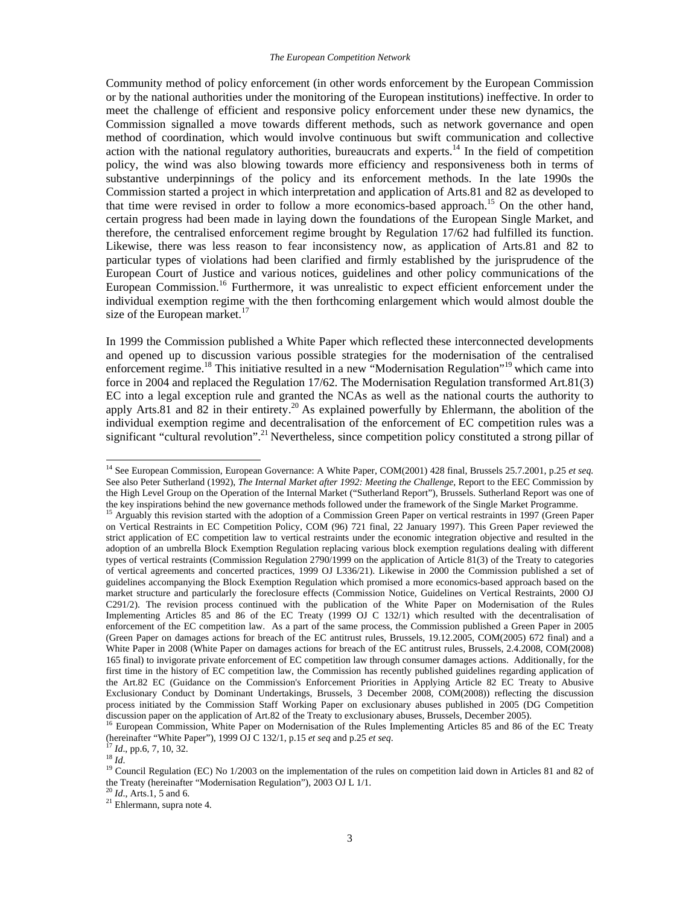Community method of policy enforcement (in other words enforcement by the European Commission or by the national authorities under the monitoring of the European institutions) ineffective. In order to meet the challenge of efficient and responsive policy enforcement under these new dynamics, the Commission signalled a move towards different methods, such as network governance and open method of coordination, which would involve continuous but swift communication and collective action with the national regulatory authorities, bureaucrats and experts.<sup>14</sup> In the field of competition policy, the wind was also blowing towards more efficiency and responsiveness both in terms of substantive underpinnings of the policy and its enforcement methods. In the late 1990s the Commission started a project in which interpretation and application of Arts.81 and 82 as developed to that time were revised in order to follow a more economics-based approach.15 On the other hand, certain progress had been made in laying down the foundations of the European Single Market, and therefore, the centralised enforcement regime brought by Regulation 17/62 had fulfilled its function. Likewise, there was less reason to fear inconsistency now, as application of Arts.81 and 82 to particular types of violations had been clarified and firmly established by the jurisprudence of the European Court of Justice and various notices, guidelines and other policy communications of the European Commission.<sup>16</sup> Furthermore, it was unrealistic to expect efficient enforcement under the individual exemption regime with the then forthcoming enlargement which would almost double the size of the European market.<sup>17</sup>

In 1999 the Commission published a White Paper which reflected these interconnected developments and opened up to discussion various possible strategies for the modernisation of the centralised enforcement regime.<sup>18</sup> This initiative resulted in a new "Modernisation Regulation"<sup>19</sup> which came into force in 2004 and replaced the Regulation 17/62. The Modernisation Regulation transformed Art.81(3) EC into a legal exception rule and granted the NCAs as well as the national courts the authority to apply Arts.81 and 82 in their entirety.<sup>20</sup> As explained powerfully by Ehlermann, the abolition of the individual exemption regime and decentralisation of the enforcement of EC competition rules was a significant "cultural revolution".<sup>21</sup> Nevertheless, since competition policy constituted a strong pillar of

<sup>14</sup> See European Commission, European Governance: A White Paper, COM(2001) 428 final, Brussels 25.7.2001, p.25 *et seq.*  See also Peter Sutherland (1992), *The Internal Market after 1992: Meeting the Challenge*, Report to the EEC Commission by the High Level Group on the Operation of the Internal Market ("Sutherland Report"), Brussels. Sutherland Report was one of the key inspirations behind the new governance methods followed under the framework of the Single Market Programme.

<sup>&</sup>lt;sup>15</sup> Arguably this revision started with the adoption of a Commission Green Paper on vertical restraints in 1997 (Green Paper on Vertical Restraints in EC Competition Policy, COM (96) 721 final, 22 January 1997). This Green Paper reviewed the strict application of EC competition law to vertical restraints under the economic integration objective and resulted in the adoption of an umbrella Block Exemption Regulation replacing various block exemption regulations dealing with different types of vertical restraints (Commission Regulation 2790/1999 on the application of Article 81(3) of the Treaty to categories of vertical agreements and concerted practices, 1999 OJ L336/21). Likewise in 2000 the Commission published a set of guidelines accompanying the Block Exemption Regulation which promised a more economics-based approach based on the market structure and particularly the foreclosure effects (Commission Notice, Guidelines on Vertical Restraints, 2000 OJ C291/2). The revision process continued with the publication of the White Paper on Modernisation of the Rules Implementing Articles 85 and 86 of the EC Treaty (1999 OJ C 132/1) which resulted with the decentralisation of enforcement of the EC competition law. As a part of the same process, the Commission published a Green Paper in 2005 (Green Paper on damages actions for breach of the EC antitrust rules, Brussels, 19.12.2005, COM(2005) 672 final) and a White Paper in 2008 (White Paper on damages actions for breach of the EC antitrust rules, Brussels, 2.4.2008, COM(2008) 165 final) to invigorate private enforcement of EC competition law through consumer damages actions. Additionally, for the first time in the history of EC competition law, the Commission has recently published guidelines regarding application of the Art.82 EC (Guidance on the Commission's Enforcement Priorities in Applying Article 82 EC Treaty to Abusive Exclusionary Conduct by Dominant Undertakings, Brussels, 3 December 2008, COM(2008)) reflecting the discussion process initiated by the Commission Staff Working Paper on exclusionary abuses published in 2005 (DG Competition discussion paper on the application of Art.82 of the Treaty to exclusionary abuses, Brussels, December 2005).

<sup>&</sup>lt;sup>16</sup> European Commission, White Paper on Modernisation of the Rules Implementing Articles 85 and 86 of the EC Treaty (hereinafter "White Paper"), 1999 OJ C 132/1, p.15 *et seq* and p.25 *et seq*.<br><sup>17</sup> *Id.*, pp.6, 7, 10,

<sup>&</sup>lt;sup>18</sup> Id.<br><sup>18</sup> Id.<br><sup>19</sup> Council Regulation (EC) No 1/2003 on the implementation of the rules on competition laid down in Articles 81 and 82 of the Treaty (hereinafter "Modernisation Regulation"), 2003 OJ L 1/1.

 $^{20}$  *Id.*, Arts.1, 5 and 6.<br><sup>21</sup> Ehlermann, supra note 4.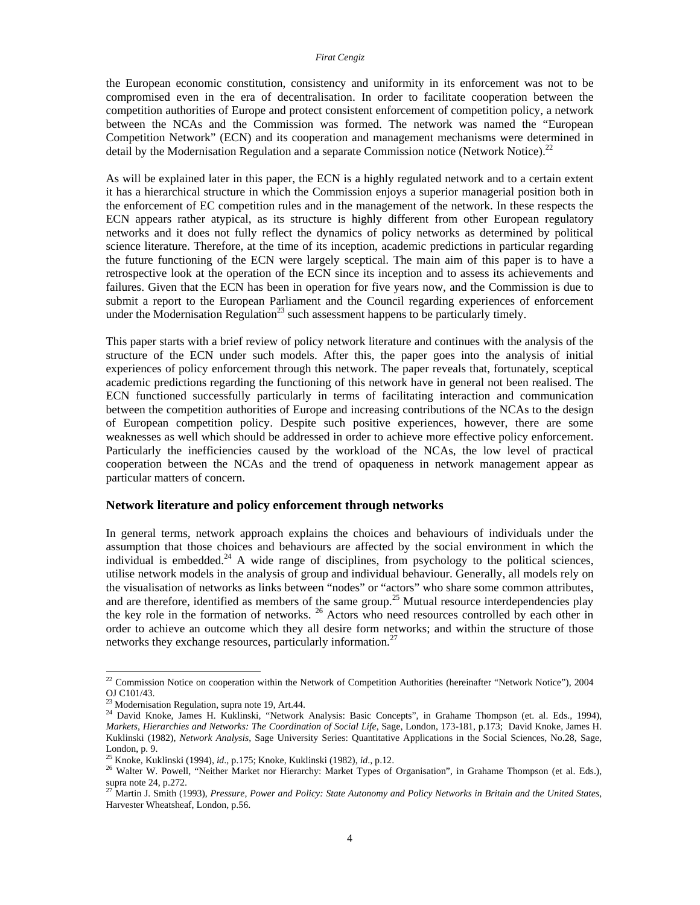the European economic constitution, consistency and uniformity in its enforcement was not to be compromised even in the era of decentralisation. In order to facilitate cooperation between the competition authorities of Europe and protect consistent enforcement of competition policy, a network between the NCAs and the Commission was formed. The network was named the "European Competition Network" (ECN) and its cooperation and management mechanisms were determined in detail by the Modernisation Regulation and a separate Commission notice (Network Notice).<sup>22</sup>

As will be explained later in this paper, the ECN is a highly regulated network and to a certain extent it has a hierarchical structure in which the Commission enjoys a superior managerial position both in the enforcement of EC competition rules and in the management of the network. In these respects the ECN appears rather atypical, as its structure is highly different from other European regulatory networks and it does not fully reflect the dynamics of policy networks as determined by political science literature. Therefore, at the time of its inception, academic predictions in particular regarding the future functioning of the ECN were largely sceptical. The main aim of this paper is to have a retrospective look at the operation of the ECN since its inception and to assess its achievements and failures. Given that the ECN has been in operation for five years now, and the Commission is due to submit a report to the European Parliament and the Council regarding experiences of enforcement under the Modernisation Regulation<sup>23</sup> such assessment happens to be particularly timely.

This paper starts with a brief review of policy network literature and continues with the analysis of the structure of the ECN under such models. After this, the paper goes into the analysis of initial experiences of policy enforcement through this network. The paper reveals that, fortunately, sceptical academic predictions regarding the functioning of this network have in general not been realised. The ECN functioned successfully particularly in terms of facilitating interaction and communication between the competition authorities of Europe and increasing contributions of the NCAs to the design of European competition policy. Despite such positive experiences, however, there are some weaknesses as well which should be addressed in order to achieve more effective policy enforcement. Particularly the inefficiencies caused by the workload of the NCAs, the low level of practical cooperation between the NCAs and the trend of opaqueness in network management appear as particular matters of concern.

## **Network literature and policy enforcement through networks**

In general terms, network approach explains the choices and behaviours of individuals under the assumption that those choices and behaviours are affected by the social environment in which the individual is embedded.<sup>24</sup> A wide range of disciplines, from psychology to the political sciences, utilise network models in the analysis of group and individual behaviour. Generally, all models rely on the visualisation of networks as links between "nodes" or "actors" who share some common attributes, and are therefore, identified as members of the same group.<sup>25</sup> Mutual resource interdependencies play the key role in the formation of networks. 26 Actors who need resources controlled by each other in order to achieve an outcome which they all desire form networks; and within the structure of those networks they exchange resources, particularly information.<sup>27</sup>

 $22$  Commission Notice on cooperation within the Network of Competition Authorities (hereinafter "Network Notice"), 2004 OJ C101/43.

<sup>&</sup>lt;sup>23</sup> Modernisation Regulation, supra note 19, Art.44.

<sup>&</sup>lt;sup>24</sup> David Knoke, James H. Kuklinski, "Network Analysis: Basic Concepts", in Grahame Thompson (et. al. Eds., 1994), *Markets, Hierarchies and Networks: The Coordination of Social Life*, Sage, London, 173-181, p.173; David Knoke, James H. Kuklinski (1982), *Network Analysis*, Sage University Series: Quantitative Applications in the Social Sciences, No.28, Sage, London, p. 9.<br><sup>25</sup> Knoke, Kuklinski (1994), *id.*, p.175; Knoke, Kuklinski (1982), *id.*, p.12.

<sup>&</sup>lt;sup>26</sup> Walter W. Powell, "Neither Market nor Hierarchy: Market Types of Organisation", in Grahame Thompson (et al. Eds.), supra note 24, p.272.

<sup>27</sup> Martin J. Smith (1993), *Pressure, Power and Policy: State Autonomy and Policy Networks in Britain and the United States*, Harvester Wheatsheaf, London, p.56.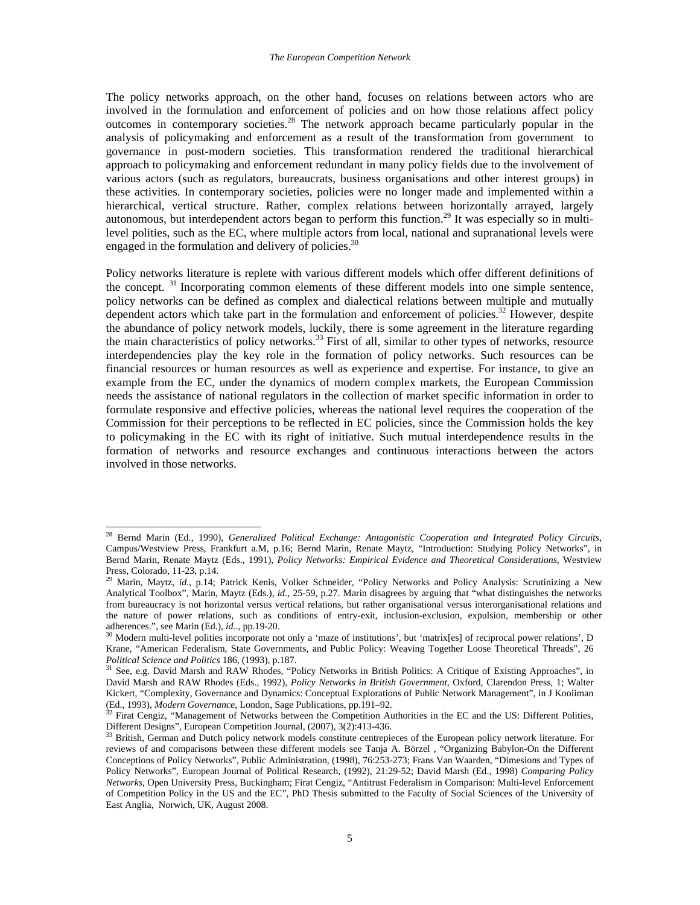The policy networks approach, on the other hand, focuses on relations between actors who are involved in the formulation and enforcement of policies and on how those relations affect policy outcomes in contemporary societies.<sup>28</sup> The network approach became particularly popular in the analysis of policymaking and enforcement as a result of the transformation from government to governance in post-modern societies. This transformation rendered the traditional hierarchical approach to policymaking and enforcement redundant in many policy fields due to the involvement of various actors (such as regulators, bureaucrats, business organisations and other interest groups) in these activities. In contemporary societies, policies were no longer made and implemented within a hierarchical, vertical structure. Rather, complex relations between horizontally arrayed, largely autonomous, but interdependent actors began to perform this function.<sup>29</sup> It was especially so in multilevel polities, such as the EC, where multiple actors from local, national and supranational levels were engaged in the formulation and delivery of policies.<sup>30</sup>

Policy networks literature is replete with various different models which offer different definitions of the concept. 31 Incorporating common elements of these different models into one simple sentence, policy networks can be defined as complex and dialectical relations between multiple and mutually dependent actors which take part in the formulation and enforcement of policies.<sup>32</sup> However, despite the abundance of policy network models, luckily, there is some agreement in the literature regarding the main characteristics of policy networks.<sup>33</sup> First of all, similar to other types of networks, resource interdependencies play the key role in the formation of policy networks. Such resources can be financial resources or human resources as well as experience and expertise. For instance, to give an example from the EC, under the dynamics of modern complex markets, the European Commission needs the assistance of national regulators in the collection of market specific information in order to formulate responsive and effective policies, whereas the national level requires the cooperation of the Commission for their perceptions to be reflected in EC policies, since the Commission holds the key to policymaking in the EC with its right of initiative. Such mutual interdependence results in the formation of networks and resource exchanges and continuous interactions between the actors involved in those networks.

<sup>28</sup> Bernd Marin (Ed., 1990), *Generalized Political Exchange: Antagonistic Cooperation and Integrated Policy Circuits*, Campus/Westview Press, Frankfurt a.M, p.16; Bernd Marin, Renate Maytz, "Introduction: Studying Policy Networks", in Bernd Marin, Renate Maytz (Eds., 1991), *Policy Networks: Empirical Evidence and Theoretical Considerations*, Westview Press, Colorado, 11-23, p.14.

<sup>&</sup>lt;sup>29</sup> Marin, Maytz, id., p.14; Patrick Kenis, Volker Schneider, "Policy Networks and Policy Analysis: Scrutinizing a New Analytical Toolbox", Marin, Maytz (Eds.), *id.*, 25-59, p.27. Marin disagrees by arguing that "what distinguishes the networks from bureaucracy is not horizontal versus vertical relations, but rather organisational versus interorganisational relations and the nature of power relations, such as conditions of entry-exit, inclusion-exclusion, expulsion, membership or other adherences.", see Marin (Ed.), *id..*, pp.19-20.<br><sup>30</sup> Modern multi-level polities incorporate not only a 'maze of institutions', but 'matrix[es] of reciprocal power relations', D

Krane, "American Federalism, State Governments, and Public Policy: Weaving Together Loose Theoretical Threads", 26 *Political Science and Politics 186, (1993), p.187.* 31 See, e.g. David Marsh and RAW Rhodes, "Policy Networks in British Politics: A Critique of Existing Approaches", in

David Marsh and RAW Rhodes (Eds., 1992), *Policy Networks in British Government*, Oxford, Clarendon Press, 1; Walter Kickert, "Complexity, Governance and Dynamics: Conceptual Explorations of Public Network Management", in J Kooiiman

<sup>(</sup>Ed., 1993), *Modern Governance*, London, Sage Publications, pp.191–92. 32 Firat Cengiz, "Management of Networks between the Competition Authorities in the EC and the US: Different Polities, Different Designs", European Competition Journal, (2007), 3(2):413-436.<br><sup>33</sup> British, German and Dutch policy network models constitute centrepieces of the European policy network literature. For

reviews of and comparisons between these different models see Tanja A. Börzel , "Organizing Babylon-On the Different Conceptions of Policy Networks", Public Administration, (1998), 76:253-273; Frans Van Waarden, "Dimesions and Types of Policy Networks", European Journal of Political Research, (1992), 21:29-52; David Marsh (Ed., 1998) *Comparing Policy Networks*, Open University Press, Buckingham; Firat Cengiz, "Antitrust Federalism in Comparison: Multi-level Enforcement of Competition Policy in the US and the EC", PhD Thesis submitted to the Faculty of Social Sciences of the University of East Anglia, Norwich, UK, August 2008.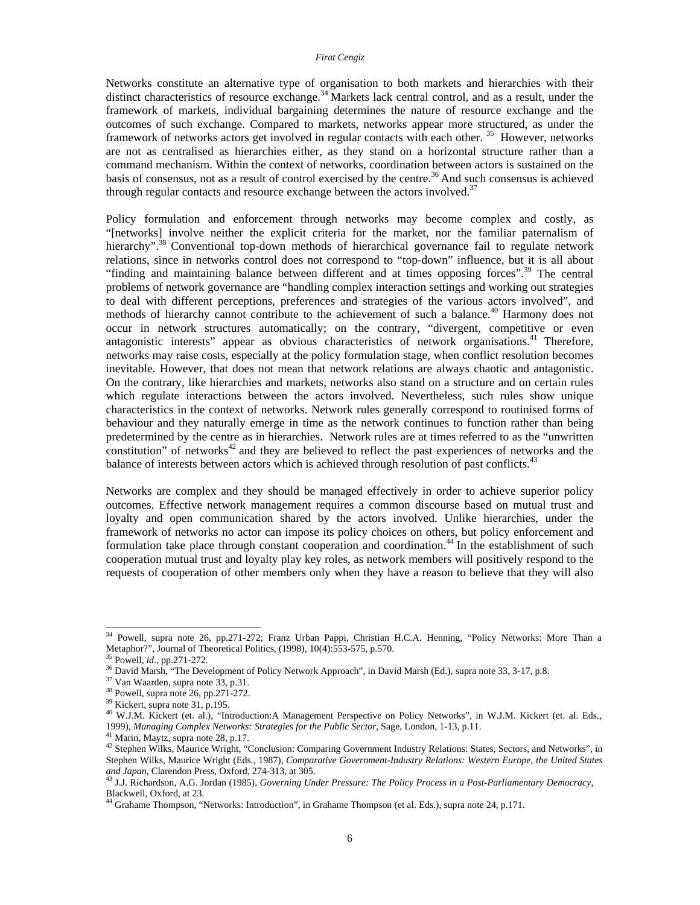Networks constitute an alternative type of organisation to both markets and hierarchies with their distinct characteristics of resource exchange.<sup>34</sup> Markets lack central control, and as a result, under the framework of markets, individual bargaining determines the nature of resource exchange and the outcomes of such exchange. Compared to markets, networks appear more structured, as under the framework of networks actors get involved in regular contacts with each other. 35 However, networks are not as centralised as hierarchies either, as they stand on a horizontal structure rather than a command mechanism. Within the context of networks, coordination between actors is sustained on the basis of consensus, not as a result of control exercised by the centre.36 And such consensus is achieved through regular contacts and resource exchange between the actors involved.<sup>37</sup>

Policy formulation and enforcement through networks may become complex and costly, as "[networks] involve neither the explicit criteria for the market, nor the familiar paternalism of hierarchy".<sup>38</sup> Conventional top-down methods of hierarchical governance fail to regulate network relations, since in networks control does not correspond to "top-down" influence, but it is all about "finding and maintaining balance between different and at times opposing forces".39 The central problems of network governance are "handling complex interaction settings and working out strategies to deal with different perceptions, preferences and strategies of the various actors involved", and methods of hierarchy cannot contribute to the achievement of such a balance.<sup>40</sup> Harmony does not occur in network structures automatically; on the contrary, "divergent, competitive or even antagonistic interests" appear as obvious characteristics of network organisations.<sup>41</sup> Therefore, networks may raise costs, especially at the policy formulation stage, when conflict resolution becomes inevitable. However, that does not mean that network relations are always chaotic and antagonistic. On the contrary, like hierarchies and markets, networks also stand on a structure and on certain rules which regulate interactions between the actors involved. Nevertheless, such rules show unique characteristics in the context of networks. Network rules generally correspond to routinised forms of behaviour and they naturally emerge in time as the network continues to function rather than being predetermined by the centre as in hierarchies. Network rules are at times referred to as the "unwritten constitution" of networks $42$  and they are believed to reflect the past experiences of networks and the balance of interests between actors which is achieved through resolution of past conflicts.<sup>43</sup>

Networks are complex and they should be managed effectively in order to achieve superior policy outcomes. Effective network management requires a common discourse based on mutual trust and loyalty and open communication shared by the actors involved. Unlike hierarchies, under the framework of networks no actor can impose its policy choices on others, but policy enforcement and formulation take place through constant cooperation and coordination.<sup>44</sup> In the establishment of such cooperation mutual trust and loyalty play key roles, as network members will positively respond to the requests of cooperation of other members only when they have a reason to believe that they will also

<sup>34</sup> Powell, supra note 26, pp.271-272; Franz Urban Pappi, Christian H.C.A. Henning, "Policy Networks: More Than a Metaphor?", Journal of Theoretical Politics, (1998), 10(4):553-575, p.570.<br><sup>35</sup> Powell, *id.*, pp.271-272.

<sup>&</sup>lt;sup>36</sup> David Marsh, "The Development of Policy Network Approach", in David Marsh (Ed.), supra note 33, 3-17, p.8.

<sup>37</sup> Van Waarden, supra note 33, p.31.

<sup>38</sup> Powell, supra note 26, pp.271-272.

<sup>39</sup> Kickert, supra note 31, p.195.

<sup>40</sup> W.J.M. Kickert (et. al.), "Introduction:A Management Perspective on Policy Networks", in W.J.M. Kickert (et. al. Eds., 1999), *Managing Complex Networks: Strategies for the Public Sector*, Sage, London, 1-13, p.11. 41 Marin, Maytz, supra note 28, p.17.

<sup>&</sup>lt;sup>42</sup> Stephen Wilks, Maurice Wright, "Conclusion: Comparing Government Industry Relations: States, Sectors, and Networks", in Stephen Wilks, Maurice Wright (Eds., 1987), *Comparative Government-Industry Relations: Western Europe, the United States* 

<sup>&</sup>lt;sup>43</sup> J.J. Richardson, A.G. Jordan (1985), *Governing Under Pressure: The Policy Process in a Post-Parliamentary Democracy*, Blackwell, Oxford, at 23.

<sup>&</sup>lt;sup>44</sup> Grahame Thompson, "Networks: Introduction", in Grahame Thompson (et al. Eds.), supra note 24, p.171.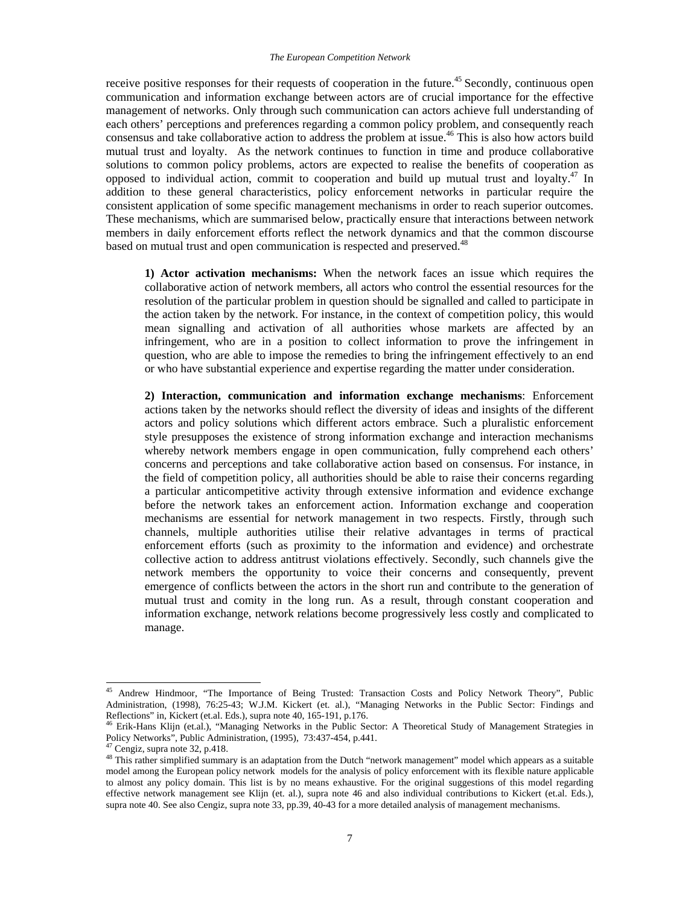#### *The European Competition Network*

receive positive responses for their requests of cooperation in the future.<sup>45</sup> Secondly, continuous open communication and information exchange between actors are of crucial importance for the effective management of networks. Only through such communication can actors achieve full understanding of each others' perceptions and preferences regarding a common policy problem, and consequently reach consensus and take collaborative action to address the problem at issue.<sup>46</sup> This is also how actors build mutual trust and loyalty. As the network continues to function in time and produce collaborative solutions to common policy problems, actors are expected to realise the benefits of cooperation as opposed to individual action, commit to cooperation and build up mutual trust and loyalty.<sup>47</sup> In addition to these general characteristics, policy enforcement networks in particular require the consistent application of some specific management mechanisms in order to reach superior outcomes. These mechanisms, which are summarised below, practically ensure that interactions between network members in daily enforcement efforts reflect the network dynamics and that the common discourse based on mutual trust and open communication is respected and preserved.<sup>48</sup>

**1) Actor activation mechanisms:** When the network faces an issue which requires the collaborative action of network members, all actors who control the essential resources for the resolution of the particular problem in question should be signalled and called to participate in the action taken by the network. For instance, in the context of competition policy, this would mean signalling and activation of all authorities whose markets are affected by an infringement, who are in a position to collect information to prove the infringement in question, who are able to impose the remedies to bring the infringement effectively to an end or who have substantial experience and expertise regarding the matter under consideration.

**2) Interaction, communication and information exchange mechanisms**: Enforcement actions taken by the networks should reflect the diversity of ideas and insights of the different actors and policy solutions which different actors embrace. Such a pluralistic enforcement style presupposes the existence of strong information exchange and interaction mechanisms whereby network members engage in open communication, fully comprehend each others' concerns and perceptions and take collaborative action based on consensus. For instance, in the field of competition policy, all authorities should be able to raise their concerns regarding a particular anticompetitive activity through extensive information and evidence exchange before the network takes an enforcement action. Information exchange and cooperation mechanisms are essential for network management in two respects. Firstly, through such channels, multiple authorities utilise their relative advantages in terms of practical enforcement efforts (such as proximity to the information and evidence) and orchestrate collective action to address antitrust violations effectively. Secondly, such channels give the network members the opportunity to voice their concerns and consequently, prevent emergence of conflicts between the actors in the short run and contribute to the generation of mutual trust and comity in the long run. As a result, through constant cooperation and information exchange, network relations become progressively less costly and complicated to manage.

<sup>&</sup>lt;sup>45</sup> Andrew Hindmoor, "The Importance of Being Trusted: Transaction Costs and Policy Network Theory", Public Administration, (1998), 76:25-43; W.J.M. Kickert (et. al.), "Managing Networks in the Public Sector: Findings and Reflections" in, Kickert (et.al. Eds.), supra note 40, 165-191, p.176.

<sup>46</sup> Erik-Hans Klijn (et.al.), "Managing Networks in the Public Sector: A Theoretical Study of Management Strategies in Policy Networks", Public Administration, (1995), 73:437-454, p.441.

 $47$  Cengiz, supra note 32, p.418.

<sup>&</sup>lt;sup>48</sup> This rather simplified summary is an adaptation from the Dutch "network management" model which appears as a suitable model among the European policy network models for the analysis of policy enforcement with its flexible nature applicable to almost any policy domain. This list is by no means exhaustive. For the original suggestions of this model regarding effective network management see Klijn (et. al.), supra note 46 and also individual contributions to Kickert (et.al. Eds.), supra note 40. See also Cengiz, supra note 33, pp.39, 40-43 for a more detailed analysis of management mechanisms.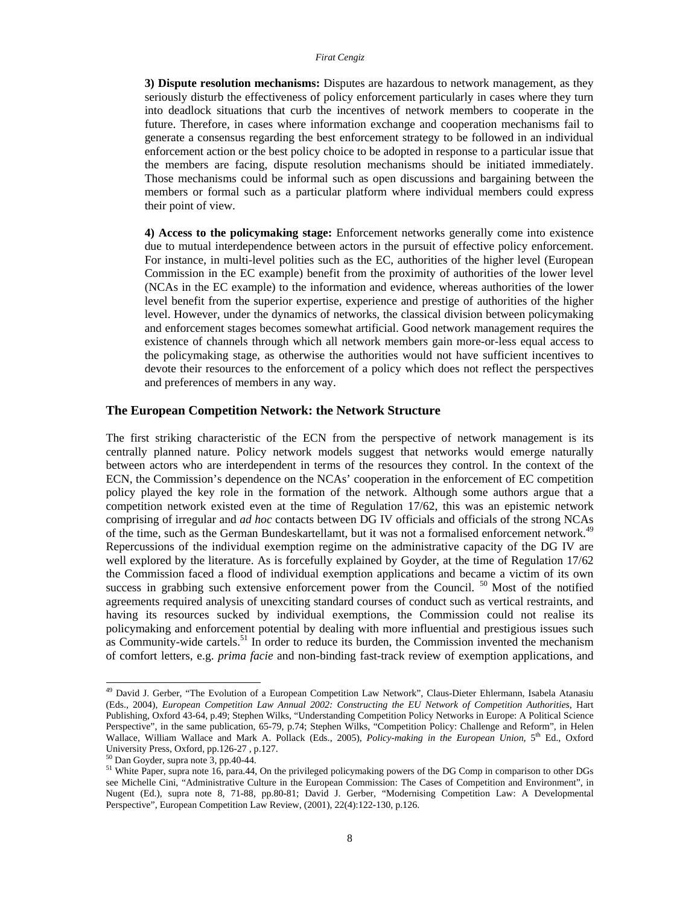**3) Dispute resolution mechanisms:** Disputes are hazardous to network management, as they seriously disturb the effectiveness of policy enforcement particularly in cases where they turn into deadlock situations that curb the incentives of network members to cooperate in the future. Therefore, in cases where information exchange and cooperation mechanisms fail to generate a consensus regarding the best enforcement strategy to be followed in an individual enforcement action or the best policy choice to be adopted in response to a particular issue that the members are facing, dispute resolution mechanisms should be initiated immediately. Those mechanisms could be informal such as open discussions and bargaining between the members or formal such as a particular platform where individual members could express their point of view.

**4) Access to the policymaking stage:** Enforcement networks generally come into existence due to mutual interdependence between actors in the pursuit of effective policy enforcement. For instance, in multi-level polities such as the EC, authorities of the higher level (European Commission in the EC example) benefit from the proximity of authorities of the lower level (NCAs in the EC example) to the information and evidence, whereas authorities of the lower level benefit from the superior expertise, experience and prestige of authorities of the higher level. However, under the dynamics of networks, the classical division between policymaking and enforcement stages becomes somewhat artificial. Good network management requires the existence of channels through which all network members gain more-or-less equal access to the policymaking stage, as otherwise the authorities would not have sufficient incentives to devote their resources to the enforcement of a policy which does not reflect the perspectives and preferences of members in any way.

## **The European Competition Network: the Network Structure**

The first striking characteristic of the ECN from the perspective of network management is its centrally planned nature. Policy network models suggest that networks would emerge naturally between actors who are interdependent in terms of the resources they control. In the context of the ECN, the Commission's dependence on the NCAs' cooperation in the enforcement of EC competition policy played the key role in the formation of the network. Although some authors argue that a competition network existed even at the time of Regulation 17/62, this was an epistemic network comprising of irregular and *ad hoc* contacts between DG IV officials and officials of the strong NCAs of the time, such as the German Bundeskartellamt, but it was not a formalised enforcement network.<sup>49</sup> Repercussions of the individual exemption regime on the administrative capacity of the DG IV are well explored by the literature. As is forcefully explained by Goyder, at the time of Regulation 17/62 the Commission faced a flood of individual exemption applications and became a victim of its own success in grabbing such extensive enforcement power from the Council. <sup>50</sup> Most of the notified agreements required analysis of unexciting standard courses of conduct such as vertical restraints, and having its resources sucked by individual exemptions, the Commission could not realise its policymaking and enforcement potential by dealing with more influential and prestigious issues such as Community-wide cartels.<sup>51</sup> In order to reduce its burden, the Commission invented the mechanism of comfort letters, e.g. *prima facie* and non-binding fast-track review of exemption applications, and

<sup>&</sup>lt;sup>49</sup> David J. Gerber, "The Evolution of a European Competition Law Network", Claus-Dieter Ehlermann, Isabela Atanasiu (Eds., 2004), *European Competition Law Annual 2002: Constructing the EU Network of Competition Authorities*, Hart Publishing, Oxford 43-64, p.49; Stephen Wilks, "Understanding Competition Policy Networks in Europe: A Political Science Perspective", in the same publication, 65-79, p.74; Stephen Wilks, "Competition Policy: Challenge and Reform", in Helen Wallace, William Wallace and Mark A. Pollack (Eds., 2005), *Policy-making in the European Union*, 5<sup>th</sup> Ed., Oxford University Press, Oxford, pp.126-27 , p.127.

<sup>50</sup> Dan Goyder, supra note 3, pp.40-44.

<sup>&</sup>lt;sup>51</sup> White Paper, supra note 16, para.44, On the privileged policymaking powers of the DG Comp in comparison to other DGs see Michelle Cini, "Administrative Culture in the European Commission: The Cases of Competition and Environment", in Nugent (Ed.), supra note 8, 71-88, pp.80-81; David J. Gerber, "Modernising Competition Law: A Developmental Perspective", European Competition Law Review, (2001), 22(4):122-130, p.126.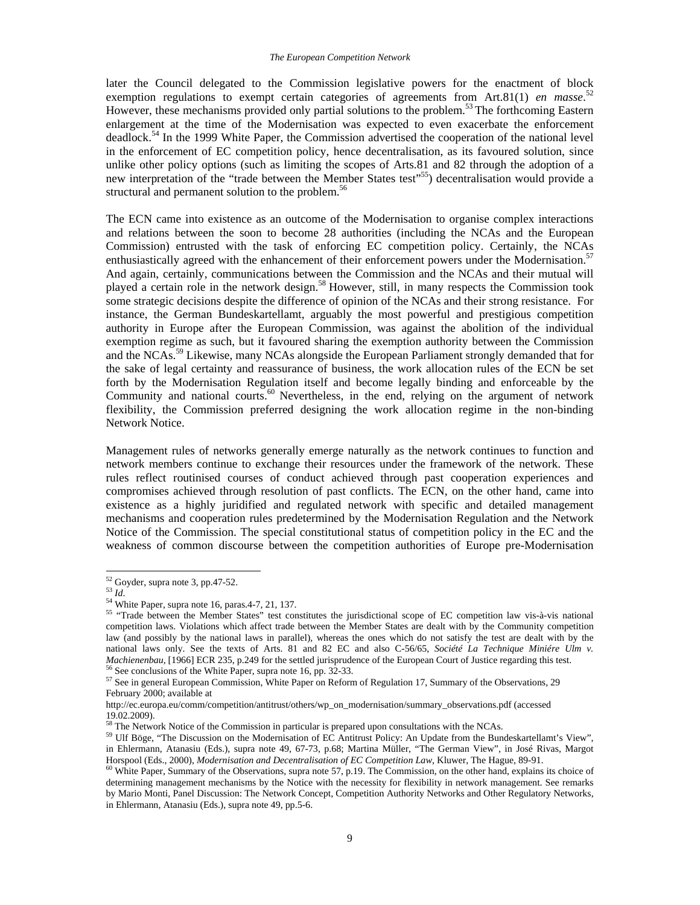later the Council delegated to the Commission legislative powers for the enactment of block exemption regulations to exempt certain categories of agreements from Art.81(1) *en masse*.<sup>52</sup> However, these mechanisms provided only partial solutions to the problem.<sup>53</sup> The forthcoming Eastern enlargement at the time of the Modernisation was expected to even exacerbate the enforcement deadlock.54 In the 1999 White Paper, the Commission advertised the cooperation of the national level in the enforcement of EC competition policy, hence decentralisation, as its favoured solution, since unlike other policy options (such as limiting the scopes of Arts.81 and 82 through the adoption of a new interpretation of the "trade between the Member States test"<sup>55</sup>) decentralisation would provide a structural and permanent solution to the problem.<sup>56</sup>

The ECN came into existence as an outcome of the Modernisation to organise complex interactions and relations between the soon to become 28 authorities (including the NCAs and the European Commission) entrusted with the task of enforcing EC competition policy. Certainly, the NCAs enthusiastically agreed with the enhancement of their enforcement powers under the Modernisation.<sup>57</sup> And again, certainly, communications between the Commission and the NCAs and their mutual will played a certain role in the network design.<sup>58</sup> However, still, in many respects the Commission took some strategic decisions despite the difference of opinion of the NCAs and their strong resistance. For instance, the German Bundeskartellamt, arguably the most powerful and prestigious competition authority in Europe after the European Commission, was against the abolition of the individual exemption regime as such, but it favoured sharing the exemption authority between the Commission and the NCAs.<sup>59</sup> Likewise, many NCAs alongside the European Parliament strongly demanded that for the sake of legal certainty and reassurance of business, the work allocation rules of the ECN be set forth by the Modernisation Regulation itself and become legally binding and enforceable by the Community and national courts.<sup>60</sup> Nevertheless, in the end, relying on the argument of network flexibility, the Commission preferred designing the work allocation regime in the non-binding Network Notice.

Management rules of networks generally emerge naturally as the network continues to function and network members continue to exchange their resources under the framework of the network. These rules reflect routinised courses of conduct achieved through past cooperation experiences and compromises achieved through resolution of past conflicts. The ECN, on the other hand, came into existence as a highly juridified and regulated network with specific and detailed management mechanisms and cooperation rules predetermined by the Modernisation Regulation and the Network Notice of the Commission. The special constitutional status of competition policy in the EC and the weakness of common discourse between the competition authorities of Europe pre-Modernisation

 $52$  Goyder, supra note 3, pp.47-52.

<sup>53</sup> *Id*. 54 White Paper, supra note 16, paras.4-7, 21, 137.

<sup>&</sup>lt;sup>55</sup> "Trade between the Member States" test constitutes the jurisdictional scope of EC competition law vis-à-vis national competition laws. Violations which affect trade between the Member States are dealt with by the Community competition law (and possibly by the national laws in parallel), whereas the ones which do not satisfy the test are dealt with by the national laws only. See the texts of Arts. 81 and 82 EC and also C-56/65, *Société La Technique Miniére Ulm v. Machienenbau,* [1966] ECR 235, p.249 for the settled jurisprudence of the European Court of Justice regarding this test. <sup>56</sup> See conclusions of the White Paper, supra note 16, pp. 32-33.

<sup>&</sup>lt;sup>57</sup> See in general European Commission, White Paper on Reform of Regulation 17, Summary of the Observations, 29 February 2000; available at

http://ec.europa.eu/comm/competition/antitrust/others/wp\_on\_modernisation/summary\_observations.pdf (accessed 19.02.2009).<br><sup>58</sup> The Network Notice of the Commission in particular is prepared upon consultations with the NCAs.

<sup>59</sup> Ulf Böge, "The Discussion on the Modernisation of EC Antitrust Policy: An Update from the Bundeskartellamt's View", in Ehlermann, Atanasiu (Eds.), supra note 49, 67-73, p.68; Martina Müller, "The German View", in José Rivas, Margot<br>Horspool (Eds., 2000), *Modernisation and Decentralisation of EC Competition Law*, Kluwer, The Hague, 89-9

 $60$  White Paper, Summary of the Observations, supra note 57, p.19. The Commission, on the other hand, explains its choice of determining management mechanisms by the Notice with the necessity for flexibility in network management. See remarks by Mario Monti, Panel Discussion: The Network Concept, Competition Authority Networks and Other Regulatory Networks, in Ehlermann, Atanasiu (Eds.), supra note 49, pp.5-6.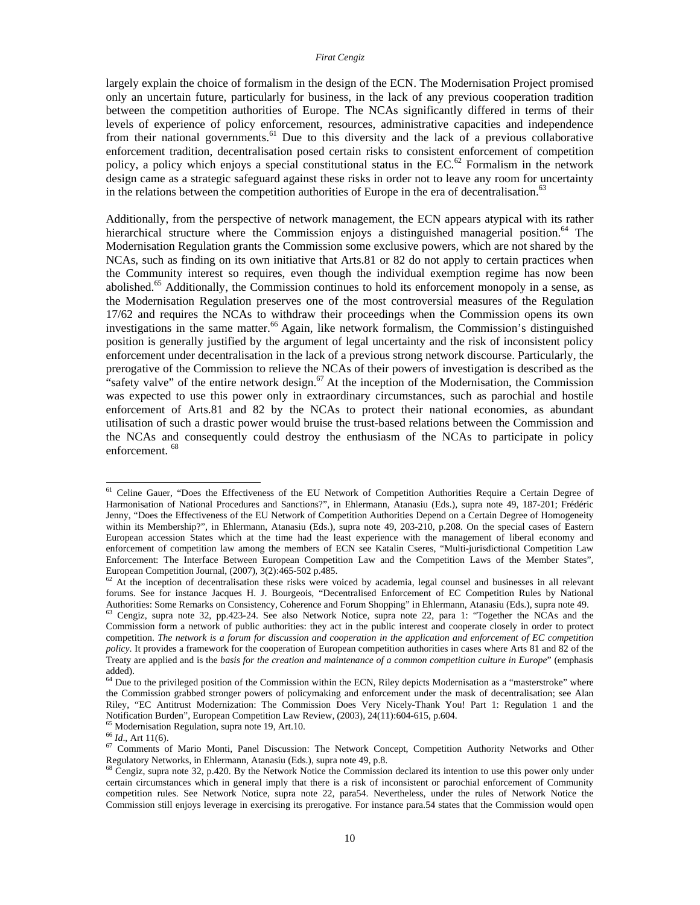largely explain the choice of formalism in the design of the ECN. The Modernisation Project promised only an uncertain future, particularly for business, in the lack of any previous cooperation tradition between the competition authorities of Europe. The NCAs significantly differed in terms of their levels of experience of policy enforcement, resources, administrative capacities and independence from their national governments.<sup>61</sup> Due to this diversity and the lack of a previous collaborative enforcement tradition, decentralisation posed certain risks to consistent enforcement of competition policy, a policy which enjoys a special constitutional status in the EC. $^{62}$  Formalism in the network design came as a strategic safeguard against these risks in order not to leave any room for uncertainty in the relations between the competition authorities of Europe in the era of decentralisation.<sup>63</sup>

Additionally, from the perspective of network management, the ECN appears atypical with its rather hierarchical structure where the Commission enjoys a distinguished managerial position.<sup>64</sup> The Modernisation Regulation grants the Commission some exclusive powers, which are not shared by the NCAs, such as finding on its own initiative that Arts.81 or 82 do not apply to certain practices when the Community interest so requires, even though the individual exemption regime has now been abolished.<sup>65</sup> Additionally, the Commission continues to hold its enforcement monopoly in a sense, as the Modernisation Regulation preserves one of the most controversial measures of the Regulation 17/62 and requires the NCAs to withdraw their proceedings when the Commission opens its own investigations in the same matter.<sup>66</sup> Again, like network formalism, the Commission's distinguished position is generally justified by the argument of legal uncertainty and the risk of inconsistent policy enforcement under decentralisation in the lack of a previous strong network discourse. Particularly, the prerogative of the Commission to relieve the NCAs of their powers of investigation is described as the "safety valve" of the entire network design. $67$  At the inception of the Modernisation, the Commission was expected to use this power only in extraordinary circumstances, such as parochial and hostile enforcement of Arts.81 and 82 by the NCAs to protect their national economies, as abundant utilisation of such a drastic power would bruise the trust-based relations between the Commission and the NCAs and consequently could destroy the enthusiasm of the NCAs to participate in policy enforcement. <sup>68</sup>

<sup>&</sup>lt;sup>61</sup> Celine Gauer, "Does the Effectiveness of the EU Network of Competition Authorities Require a Certain Degree of Harmonisation of National Procedures and Sanctions?", in Ehlermann, Atanasiu (Eds.), supra note 49, 187-201; Frédéric Jenny, "Does the Effectiveness of the EU Network of Competition Authorities Depend on a Certain Degree of Homogeneity within its Membership?", in Ehlermann, Atanasiu (Eds.), supra note 49, 203-210, p.208. On the special cases of Eastern European accession States which at the time had the least experience with the management of liberal economy and enforcement of competition law among the members of ECN see Katalin Cseres, "Multi-jurisdictional Competition Law Enforcement: The Interface Between European Competition Law and the Competition Laws of the Member States", European Competition Journal, (2007), 3(2):465-502 p.485.

 $E_2$  at the inception of decentralisation these risks were voiced by academia, legal counsel and businesses in all relevant forums. See for instance Jacques H. J. Bourgeois, "Decentralised Enforcement of EC Competition Rules by National Authorities: Some Remarks on Consistency, Coherence and Forum Shopping" in Ehlermann, Atanasiu (Eds.), supra note 49.<br><sup>63</sup> Cengiz, supra note 32, pp.423-24. See also Network Notice, supra note 22, para 1: "Together the NCA

Commission form a network of public authorities: they act in the public interest and cooperate closely in order to protect competition. *The network is a forum for discussion and cooperation in the application and enforcement of EC competition policy*. It provides a framework for the cooperation of European competition authorities in cases where Arts 81 and 82 of the Treaty are applied and is the *basis for the creation and maintenance of a common competition culture in Europe*" (emphasis added).

 $<sup>64</sup>$  Due to the privileged position of the Commission within the ECN, Riley depicts Modernisation as a "masterstroke" where</sup> the Commission grabbed stronger powers of policymaking and enforcement under the mask of decentralisation; see Alan Riley, "EC Antitrust Modernization: The Commission Does Very Nicely-Thank You! Part 1: Regulation 1 and the Notification Burden", European Competition Law Review, (2003), 24(11):604-615, p.604. <sup>65</sup> Modernisation Regulation, supra note 19, Art.10. <sup>66</sup> *Id.*, Art 11(6).

<sup>&</sup>lt;sup>67</sup> Comments of Mario Monti, Panel Discussion: The Network Concept, Competition Authority Networks and Other Regulatory Networks, in Ehlermann, Atanasiu (Eds.), supra note 49, p.8.

<sup>&</sup>lt;sup>68</sup> Cengiz, supra note 32, p.420. By the Network Notice the Commission declared its intention to use this power only under certain circumstances which in general imply that there is a risk of inconsistent or parochial enforcement of Community competition rules. See Network Notice, supra note 22*,* para54. Nevertheless, under the rules of Network Notice the Commission still enjoys leverage in exercising its prerogative. For instance para.54 states that the Commission would open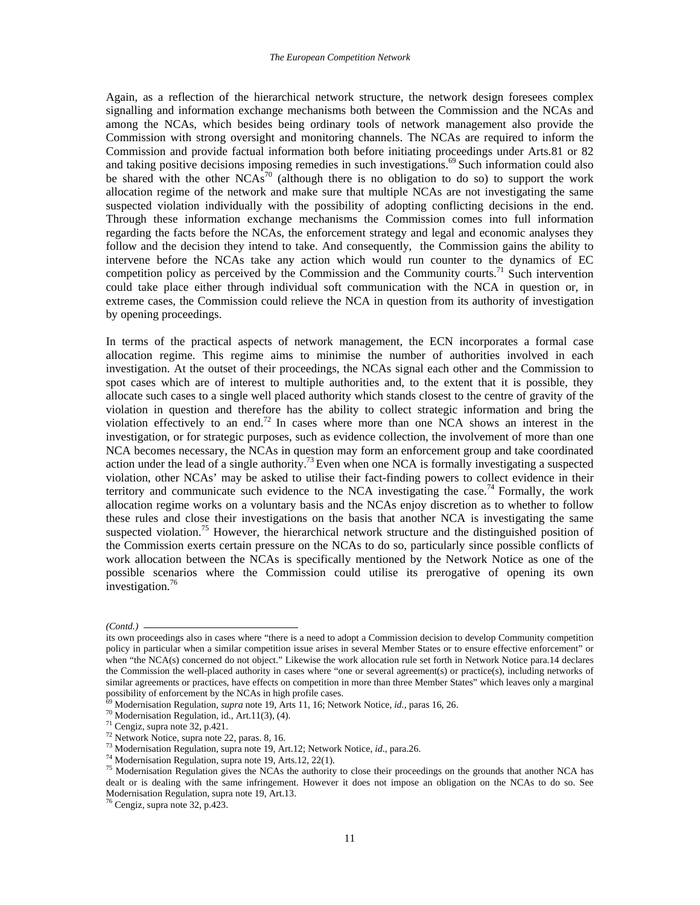Again, as a reflection of the hierarchical network structure, the network design foresees complex signalling and information exchange mechanisms both between the Commission and the NCAs and among the NCAs, which besides being ordinary tools of network management also provide the Commission with strong oversight and monitoring channels. The NCAs are required to inform the Commission and provide factual information both before initiating proceedings under Arts.81 or 82 and taking positive decisions imposing remedies in such investigations.<sup>69</sup> Such information could also be shared with the other  $NCAs^{70}$  (although there is no obligation to do so) to support the work allocation regime of the network and make sure that multiple NCAs are not investigating the same suspected violation individually with the possibility of adopting conflicting decisions in the end. Through these information exchange mechanisms the Commission comes into full information regarding the facts before the NCAs, the enforcement strategy and legal and economic analyses they follow and the decision they intend to take. And consequently, the Commission gains the ability to intervene before the NCAs take any action which would run counter to the dynamics of EC competition policy as perceived by the Commission and the Community courts.<sup>71</sup> Such intervention could take place either through individual soft communication with the NCA in question or, in extreme cases, the Commission could relieve the NCA in question from its authority of investigation by opening proceedings.

In terms of the practical aspects of network management, the ECN incorporates a formal case allocation regime. This regime aims to minimise the number of authorities involved in each investigation. At the outset of their proceedings, the NCAs signal each other and the Commission to spot cases which are of interest to multiple authorities and, to the extent that it is possible, they allocate such cases to a single well placed authority which stands closest to the centre of gravity of the violation in question and therefore has the ability to collect strategic information and bring the violation effectively to an end.<sup>72</sup> In cases where more than one NCA shows an interest in the investigation, or for strategic purposes, such as evidence collection, the involvement of more than one NCA becomes necessary, the NCAs in question may form an enforcement group and take coordinated action under the lead of a single authority.73 Even when one NCA is formally investigating a suspected violation, other NCAs' may be asked to utilise their fact-finding powers to collect evidence in their territory and communicate such evidence to the NCA investigating the case.<sup>74</sup> Formally, the work allocation regime works on a voluntary basis and the NCAs enjoy discretion as to whether to follow these rules and close their investigations on the basis that another NCA is investigating the same suspected violation.<sup>75</sup> However, the hierarchical network structure and the distinguished position of the Commission exerts certain pressure on the NCAs to do so, particularly since possible conflicts of work allocation between the NCAs is specifically mentioned by the Network Notice as one of the possible scenarios where the Commission could utilise its prerogative of opening its own investigation.<sup>76</sup>

*<sup>(</sup>Contd.)* 

its own proceedings also in cases where "there is a need to adopt a Commission decision to develop Community competition policy in particular when a similar competition issue arises in several Member States or to ensure effective enforcement" or when "the NCA(s) concerned do not object." Likewise the work allocation rule set forth in Network Notice para.14 declares the Commission the well-placed authority in cases where "one or several agreement(s) or practice(s), including networks of similar agreements or practices, have effects on competition in more than three Member States" which leaves only a marginal possibility of enforcement by the NCAs in high profile cases. 69 Modernisation Regulation, *supra* note 19, Arts 11, 16; Network Notice, *id.*, paras 16, 26. 70 Modernisation Regulation, id., Art.11(3), (4).

<sup>71</sup> Cengiz, supra note 32, p.421.

<sup>72</sup> Network Notice, supra note 22, paras. 8, 16.

<sup>73</sup> Modernisation Regulation, supra note 19, Art.12; Network Notice, *id*., para.26. 74 Modernisation Regulation, supra note 19, Arts.12, 22(1).

<sup>&</sup>lt;sup>75</sup> Modernisation Regulation gives the NCAs the authority to close their proceedings on the grounds that another NCA has dealt or is dealing with the same infringement. However it does not impose an obligation on the NCAs to do so. See Modernisation Regulation, supra note 19, Art.13. 76 Cengiz, supra note 32, p.423.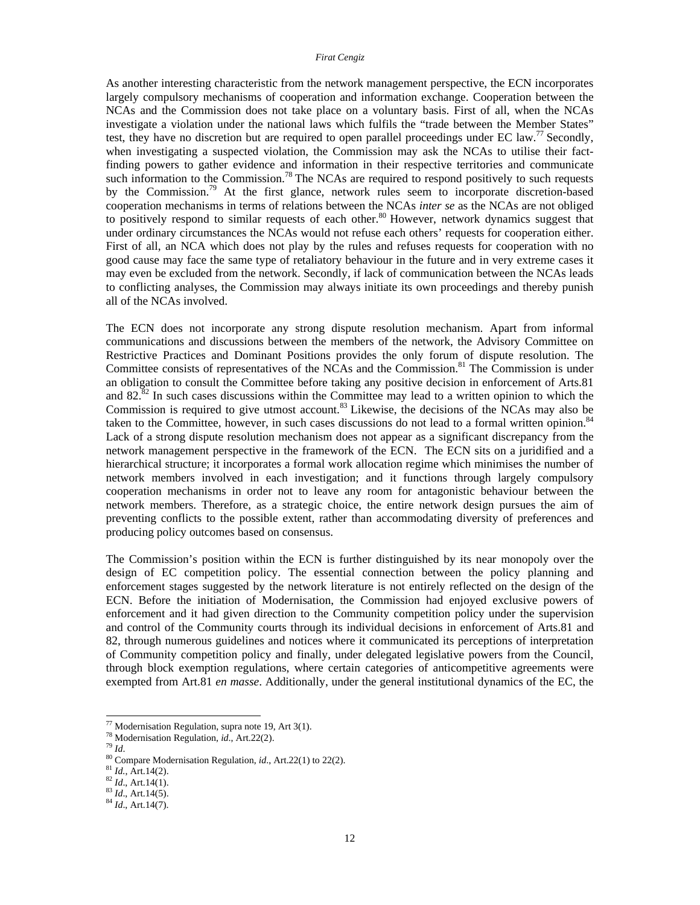As another interesting characteristic from the network management perspective, the ECN incorporates largely compulsory mechanisms of cooperation and information exchange. Cooperation between the NCAs and the Commission does not take place on a voluntary basis. First of all, when the NCAs investigate a violation under the national laws which fulfils the "trade between the Member States" test, they have no discretion but are required to open parallel proceedings under EC law.<sup>77</sup> Secondly, when investigating a suspected violation, the Commission may ask the NCAs to utilise their factfinding powers to gather evidence and information in their respective territories and communicate such information to the Commission.<sup>78</sup> The NCAs are required to respond positively to such requests by the Commission.<sup>79</sup> At the first glance, network rules seem to incorporate discretion-based cooperation mechanisms in terms of relations between the NCAs *inter se* as the NCAs are not obliged to positively respond to similar requests of each other.<sup>80</sup> However, network dynamics suggest that under ordinary circumstances the NCAs would not refuse each others' requests for cooperation either. First of all, an NCA which does not play by the rules and refuses requests for cooperation with no good cause may face the same type of retaliatory behaviour in the future and in very extreme cases it may even be excluded from the network. Secondly, if lack of communication between the NCAs leads to conflicting analyses, the Commission may always initiate its own proceedings and thereby punish all of the NCAs involved.

The ECN does not incorporate any strong dispute resolution mechanism. Apart from informal communications and discussions between the members of the network, the Advisory Committee on Restrictive Practices and Dominant Positions provides the only forum of dispute resolution. The Committee consists of representatives of the NCAs and the Commission.<sup>81</sup> The Commission is under an obligation to consult the Committee before taking any positive decision in enforcement of Arts.81 and 82.<sup>82</sup> In such cases discussions within the Committee may lead to a written opinion to which the Commission is required to give utmost account.<sup>83</sup> Likewise, the decisions of the NCAs may also be taken to the Committee, however, in such cases discussions do not lead to a formal written opinion. $84$ Lack of a strong dispute resolution mechanism does not appear as a significant discrepancy from the network management perspective in the framework of the ECN. The ECN sits on a juridified and a hierarchical structure; it incorporates a formal work allocation regime which minimises the number of network members involved in each investigation; and it functions through largely compulsory cooperation mechanisms in order not to leave any room for antagonistic behaviour between the network members. Therefore, as a strategic choice, the entire network design pursues the aim of preventing conflicts to the possible extent, rather than accommodating diversity of preferences and producing policy outcomes based on consensus.

The Commission's position within the ECN is further distinguished by its near monopoly over the design of EC competition policy. The essential connection between the policy planning and enforcement stages suggested by the network literature is not entirely reflected on the design of the ECN. Before the initiation of Modernisation, the Commission had enjoyed exclusive powers of enforcement and it had given direction to the Community competition policy under the supervision and control of the Community courts through its individual decisions in enforcement of Arts.81 and 82, through numerous guidelines and notices where it communicated its perceptions of interpretation of Community competition policy and finally, under delegated legislative powers from the Council, through block exemption regulations, where certain categories of anticompetitive agreements were exempted from Art.81 *en masse*. Additionally, under the general institutional dynamics of the EC, the

<sup>&</sup>lt;sup>77</sup> Modernisation Regulation, supra note 19, Art 3(1).<br><sup>78</sup> Modernisation Regulation, *id.*, Art.22(2).

<sup>&</sup>lt;sup>79</sup> *Id.*<br><sup>80</sup> Compare Modernisation Regulation, *id.*, Art.22(1) to 22(2).<br><sup>81</sup> *Id.*, Art.14(1).<br><sup>82</sup> *Id.*, Art.14(1).<br><sup>83</sup> *Id.*, Art.14(5).<br><sup>84</sup> *Id.*, Art.14(7).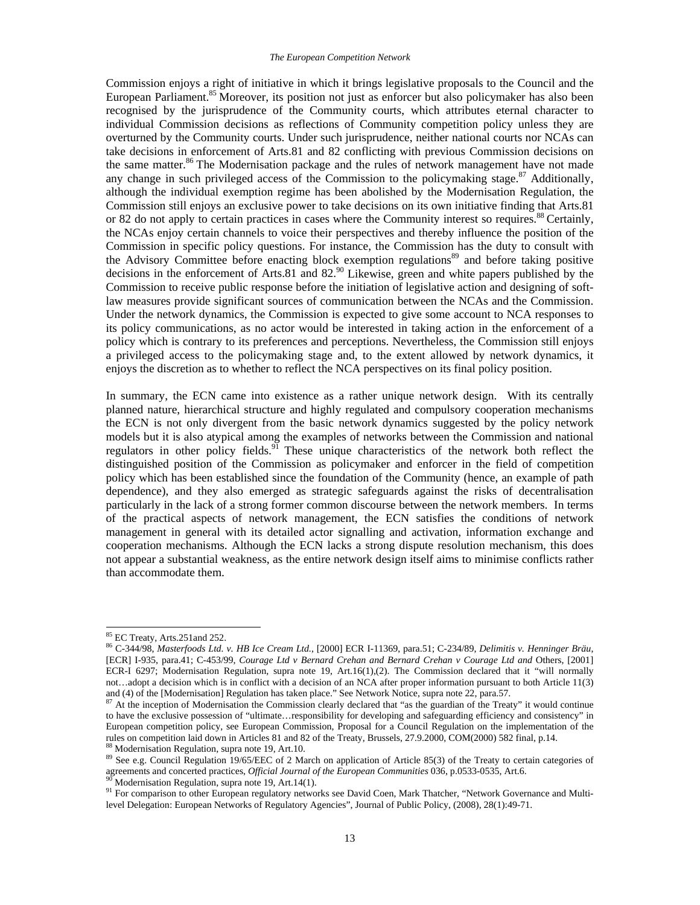#### *The European Competition Network*

Commission enjoys a right of initiative in which it brings legislative proposals to the Council and the European Parliament.<sup>85</sup> Moreover, its position not just as enforcer but also policymaker has also been recognised by the jurisprudence of the Community courts, which attributes eternal character to individual Commission decisions as reflections of Community competition policy unless they are overturned by the Community courts. Under such jurisprudence, neither national courts nor NCAs can take decisions in enforcement of Arts.81 and 82 conflicting with previous Commission decisions on the same matter.<sup>86</sup> The Modernisation package and the rules of network management have not made any change in such privileged access of the Commission to the policymaking stage.<sup>87</sup> Additionally, although the individual exemption regime has been abolished by the Modernisation Regulation, the Commission still enjoys an exclusive power to take decisions on its own initiative finding that Arts.81 or 82 do not apply to certain practices in cases where the Community interest so requires.<sup>88</sup> Certainly, the NCAs enjoy certain channels to voice their perspectives and thereby influence the position of the Commission in specific policy questions. For instance, the Commission has the duty to consult with the Advisory Committee before enacting block exemption regulations<sup>89</sup> and before taking positive decisions in the enforcement of Arts.81 and 82.<sup>90</sup> Likewise, green and white papers published by the Commission to receive public response before the initiation of legislative action and designing of softlaw measures provide significant sources of communication between the NCAs and the Commission. Under the network dynamics, the Commission is expected to give some account to NCA responses to its policy communications, as no actor would be interested in taking action in the enforcement of a policy which is contrary to its preferences and perceptions. Nevertheless, the Commission still enjoys a privileged access to the policymaking stage and, to the extent allowed by network dynamics, it enjoys the discretion as to whether to reflect the NCA perspectives on its final policy position.

In summary, the ECN came into existence as a rather unique network design. With its centrally planned nature, hierarchical structure and highly regulated and compulsory cooperation mechanisms the ECN is not only divergent from the basic network dynamics suggested by the policy network models but it is also atypical among the examples of networks between the Commission and national regulators in other policy fields.<sup>91</sup> These unique characteristics of the network both reflect the distinguished position of the Commission as policymaker and enforcer in the field of competition policy which has been established since the foundation of the Community (hence, an example of path dependence), and they also emerged as strategic safeguards against the risks of decentralisation particularly in the lack of a strong former common discourse between the network members. In terms of the practical aspects of network management, the ECN satisfies the conditions of network management in general with its detailed actor signalling and activation, information exchange and cooperation mechanisms. Although the ECN lacks a strong dispute resolution mechanism, this does not appear a substantial weakness, as the entire network design itself aims to minimise conflicts rather than accommodate them.

<sup>&</sup>lt;sup>85</sup> EC Treaty, Arts.251 and 252.

<sup>86</sup> C-344/98, *Masterfoods Ltd. v. HB Ice Cream Ltd.*, [2000] ECR I-11369, para.51; C-234/89, *Delimitis v. Henninger Bräu*, [ECR] I-935, para.41; C-453/99, *Courage Ltd v Bernard Crehan and Bernard Crehan v Courage Ltd and* Others, [2001] ECR-I 6297; Modernisation Regulation, supra note 19, Art.16(1),(2). The Commission declared that it "will normally not…adopt a decision which is in conflict with a decision of an NCA after proper information pursuant to both Article 11(3) and (4) of the [Modernisation] Regulation has taken place." See Network Notice, supra note 22, para.57.

 $87$  At the inception of Modernisation the Commission clearly declared that "as the guardian of the Treaty" it would continue to have the exclusive possession of "ultimate…responsibility for developing and safeguarding efficiency and consistency" in European competition policy, see European Commission, Proposal for a Council Regulation on the implementation of the rules on competition laid down in Articles 81 and 82 of the Treaty, Brussels, 27.9.2000, COM(2000) 582 final, p.14.

<sup>88</sup> Modernisation Regulation, supra note 19, Art.10.

<sup>&</sup>lt;sup>89</sup> See e.g. Council Regulation 19/65/EEC of 2 March on application of Article 85(3) of the Treaty to certain categories of agreements and concerted practices, *Official Journal of the European Communities* 036, p.0533-0535, Art.6. 90 Modernisation Regulation, supra note 19, Art.14(1).

<sup>&</sup>lt;sup>91</sup> For comparison to other European regulatory networks see David Coen, Mark Thatcher, "Network Governance and Multilevel Delegation: European Networks of Regulatory Agencies", Journal of Public Policy, (2008), 28(1):49-71.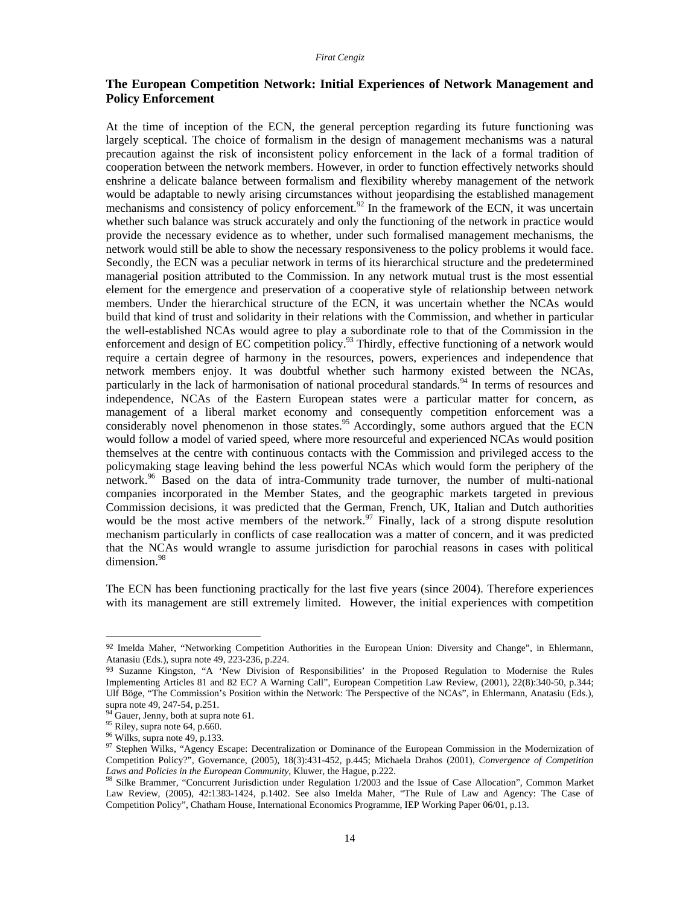# **The European Competition Network: Initial Experiences of Network Management and Policy Enforcement**

At the time of inception of the ECN, the general perception regarding its future functioning was largely sceptical. The choice of formalism in the design of management mechanisms was a natural precaution against the risk of inconsistent policy enforcement in the lack of a formal tradition of cooperation between the network members. However, in order to function effectively networks should enshrine a delicate balance between formalism and flexibility whereby management of the network would be adaptable to newly arising circumstances without jeopardising the established management mechanisms and consistency of policy enforcement.<sup>92</sup> In the framework of the ECN, it was uncertain whether such balance was struck accurately and only the functioning of the network in practice would provide the necessary evidence as to whether, under such formalised management mechanisms, the network would still be able to show the necessary responsiveness to the policy problems it would face. Secondly, the ECN was a peculiar network in terms of its hierarchical structure and the predetermined managerial position attributed to the Commission. In any network mutual trust is the most essential element for the emergence and preservation of a cooperative style of relationship between network members. Under the hierarchical structure of the ECN, it was uncertain whether the NCAs would build that kind of trust and solidarity in their relations with the Commission, and whether in particular the well-established NCAs would agree to play a subordinate role to that of the Commission in the enforcement and design of EC competition policy.<sup>93</sup> Thirdly, effective functioning of a network would require a certain degree of harmony in the resources, powers, experiences and independence that network members enjoy. It was doubtful whether such harmony existed between the NCAs, particularly in the lack of harmonisation of national procedural standards.<sup>94</sup> In terms of resources and independence, NCAs of the Eastern European states were a particular matter for concern, as management of a liberal market economy and consequently competition enforcement was a considerably novel phenomenon in those states.<sup>95</sup> Accordingly, some authors argued that the ECN would follow a model of varied speed, where more resourceful and experienced NCAs would position themselves at the centre with continuous contacts with the Commission and privileged access to the policymaking stage leaving behind the less powerful NCAs which would form the periphery of the network.96 Based on the data of intra-Community trade turnover, the number of multi-national companies incorporated in the Member States, and the geographic markets targeted in previous Commission decisions, it was predicted that the German, French, UK, Italian and Dutch authorities would be the most active members of the network.<sup>97</sup> Finally, lack of a strong dispute resolution mechanism particularly in conflicts of case reallocation was a matter of concern, and it was predicted that the NCAs would wrangle to assume jurisdiction for parochial reasons in cases with political dimension.<sup>98</sup>

The ECN has been functioning practically for the last five years (since 2004). Therefore experiences with its management are still extremely limited. However, the initial experiences with competition

<sup>92</sup> Imelda Maher, "Networking Competition Authorities in the European Union: Diversity and Change", in Ehlermann, Atanasiu (Eds.), supra note 49, 223-236, p.224.

<sup>93</sup> Suzanne Kingston, "A 'New Division of Responsibilities' in the Proposed Regulation to Modernise the Rules Implementing Articles 81 and 82 EC? A Warning Call", European Competition Law Review, (2001), 22(8):340-50, p.344; Ulf Böge, "The Commission's Position within the Network: The Perspective of the NCAs", in Ehlermann, Anatasiu (Eds.), supra note 49, 247-54, p.251.

<sup>&</sup>lt;sup>94</sup> Gauer, Jenny, both at supra note 61.

<sup>95</sup> Riley, supra note 64, p.660.

<sup>96</sup> Wilks, supra note 49, p.133.

<sup>&</sup>lt;sup>97</sup> Stephen Wilks, "Agency Escape: Decentralization or Dominance of the European Commission in the Modernization of Competition Policy?", Governance, (2005), 18(3):431-452, p.445; Michaela Drahos (2001), *Convergence of Competition Laws and Policies in the European Community*, Kluwer, the Hague, p.222.<br><sup>98</sup> Silke Brammer, "Concurrent Jurisdiction under Regulation 1/2003 and the Issue of Case Allocation", Common Market

Law Review, (2005), 42:1383-1424, p.1402. See also Imelda Maher, "The Rule of Law and Agency: The Case of Competition Policy", Chatham House, International Economics Programme, IEP Working Paper 06/01, p.13.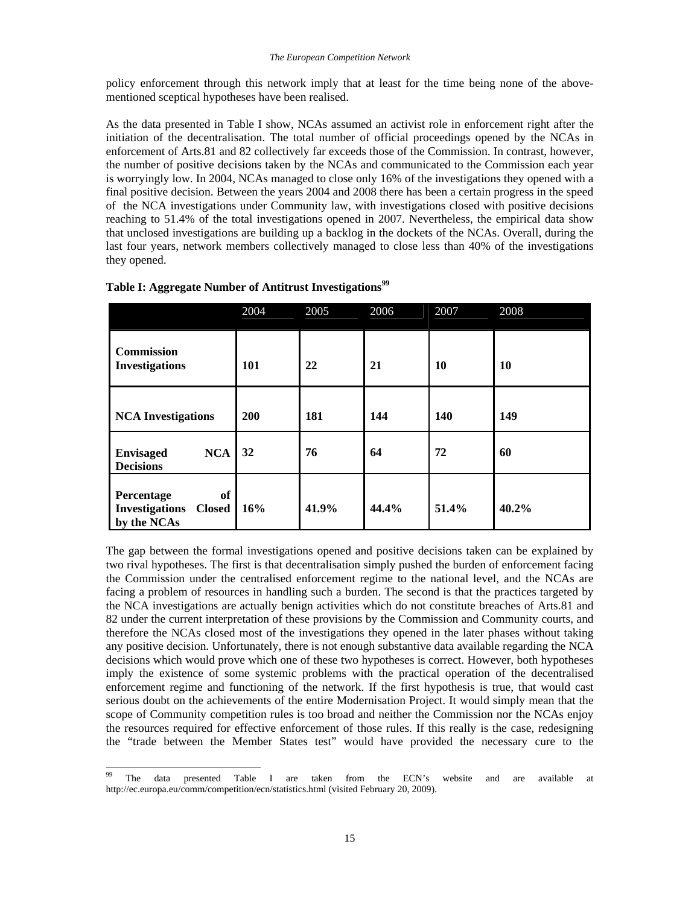policy enforcement through this network imply that at least for the time being none of the abovementioned sceptical hypotheses have been realised.

As the data presented in Table I show, NCAs assumed an activist role in enforcement right after the initiation of the decentralisation. The total number of official proceedings opened by the NCAs in enforcement of Arts.81 and 82 collectively far exceeds those of the Commission. In contrast, however, the number of positive decisions taken by the NCAs and communicated to the Commission each year is worryingly low. In 2004, NCAs managed to close only 16% of the investigations they opened with a final positive decision. Between the years 2004 and 2008 there has been a certain progress in the speed of the NCA investigations under Community law, with investigations closed with positive decisions reaching to 51.4% of the total investigations opened in 2007. Nevertheless, the empirical data show that unclosed investigations are building up a backlog in the dockets of the NCAs. Overall, during the last four years, network members collectively managed to close less than 40% of the investigations they opened.

|                                                                 | 2004       | 2005  | 2006  | 2007       | 2008      |
|-----------------------------------------------------------------|------------|-------|-------|------------|-----------|
| <b>Commission</b><br><b>Investigations</b>                      | <b>101</b> | 22    | 21    | 10         | <b>10</b> |
| <b>NCA Investigations</b>                                       | <b>200</b> | 181   | 144   | <b>140</b> | 149       |
| <b>NCA</b><br><b>Envisaged</b><br><b>Decisions</b>              | 32         | 76    | 64    | 72         | 60        |
| of<br>Percentage<br><b>Investigations Closed</b><br>by the NCAs | 16%        | 41.9% | 44.4% | 51.4%      | 40.2%     |

## **Table I: Aggregate Number of Antitrust Investigations<sup>99</sup>**

The gap between the formal investigations opened and positive decisions taken can be explained by two rival hypotheses. The first is that decentralisation simply pushed the burden of enforcement facing the Commission under the centralised enforcement regime to the national level, and the NCAs are facing a problem of resources in handling such a burden. The second is that the practices targeted by the NCA investigations are actually benign activities which do not constitute breaches of Arts.81 and 82 under the current interpretation of these provisions by the Commission and Community courts, and therefore the NCAs closed most of the investigations they opened in the later phases without taking any positive decision. Unfortunately, there is not enough substantive data available regarding the NCA decisions which would prove which one of these two hypotheses is correct. However, both hypotheses imply the existence of some systemic problems with the practical operation of the decentralised enforcement regime and functioning of the network. If the first hypothesis is true, that would cast serious doubt on the achievements of the entire Modernisation Project. It would simply mean that the scope of Community competition rules is too broad and neither the Commission nor the NCAs enjoy the resources required for effective enforcement of those rules. If this really is the case, redesigning the "trade between the Member States test" would have provided the necessary cure to the

<sup>99</sup> The data presented Table I are taken from the ECN's website and are available at http://ec.europa.eu/comm/competition/ecn/statistics.html (visited February 20, 2009).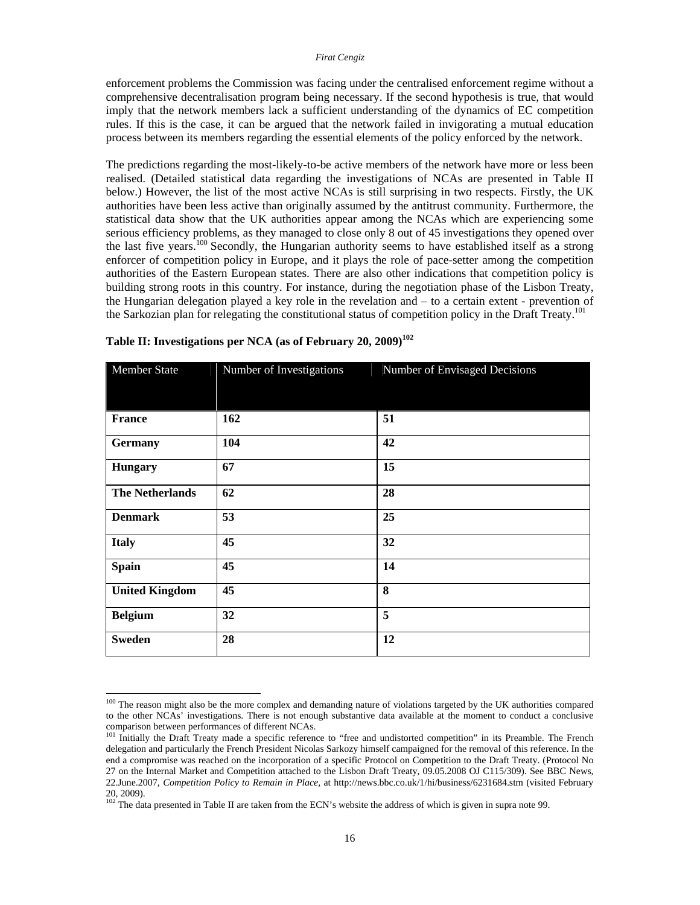enforcement problems the Commission was facing under the centralised enforcement regime without a comprehensive decentralisation program being necessary. If the second hypothesis is true, that would imply that the network members lack a sufficient understanding of the dynamics of EC competition rules. If this is the case, it can be argued that the network failed in invigorating a mutual education process between its members regarding the essential elements of the policy enforced by the network.

The predictions regarding the most-likely-to-be active members of the network have more or less been realised. (Detailed statistical data regarding the investigations of NCAs are presented in Table II below.) However, the list of the most active NCAs is still surprising in two respects. Firstly, the UK authorities have been less active than originally assumed by the antitrust community. Furthermore, the statistical data show that the UK authorities appear among the NCAs which are experiencing some serious efficiency problems, as they managed to close only 8 out of 45 investigations they opened over the last five years.100 Secondly, the Hungarian authority seems to have established itself as a strong enforcer of competition policy in Europe, and it plays the role of pace-setter among the competition authorities of the Eastern European states. There are also other indications that competition policy is building strong roots in this country. For instance, during the negotiation phase of the Lisbon Treaty, the Hungarian delegation played a key role in the revelation and – to a certain extent - prevention of the Sarkozian plan for relegating the constitutional status of competition policy in the Draft Treaty.<sup>101</sup>

| <b>Member State</b>    | Number of Investigations | Number of Envisaged Decisions |
|------------------------|--------------------------|-------------------------------|
|                        |                          |                               |
| <b>France</b>          | 162                      | 51                            |
| <b>Germany</b>         | 104                      | 42                            |
| <b>Hungary</b>         | 67                       | 15                            |
| <b>The Netherlands</b> | 62                       | 28                            |
| <b>Denmark</b>         | 53                       | 25                            |
| <b>Italy</b>           | 45                       | 32                            |
| <b>Spain</b>           | 45                       | 14                            |
| <b>United Kingdom</b>  | 45                       | 8                             |
| <b>Belgium</b>         | 32                       | 5                             |
| <b>Sweden</b>          | 28                       | 12                            |

|  | Table II: Investigations per NCA (as of February 20, 2009) <sup>102</sup> |  |  |
|--|---------------------------------------------------------------------------|--|--|
|  |                                                                           |  |  |

<sup>&</sup>lt;sup>100</sup> The reason might also be the more complex and demanding nature of violations targeted by the UK authorities compared to the other NCAs' investigations. There is not enough substantive data available at the moment to conduct a conclusive comparison between performances of different NCAs.

<sup>&</sup>lt;sup>101</sup> Initially the Draft Treaty made a specific reference to "free and undistorted competition" in its Preamble. The French delegation and particularly the French President Nicolas Sarkozy himself campaigned for the removal of this reference. In the end a compromise was reached on the incorporation of a specific Protocol on Competition to the Draft Treaty. (Protocol No 27 on the Internal Market and Competition attached to the Lisbon Draft Treaty, 09.05.2008 OJ C115/309). See BBC News, 22.June.2007, *Competition Policy to Remain in Place*, at http://news.bbc.co.uk/1/hi/business/6231684.stm (visited February 20, 2009).

<sup>&</sup>lt;sup>102</sup> The data presented in Table II are taken from the ECN's website the address of which is given in supra note 99.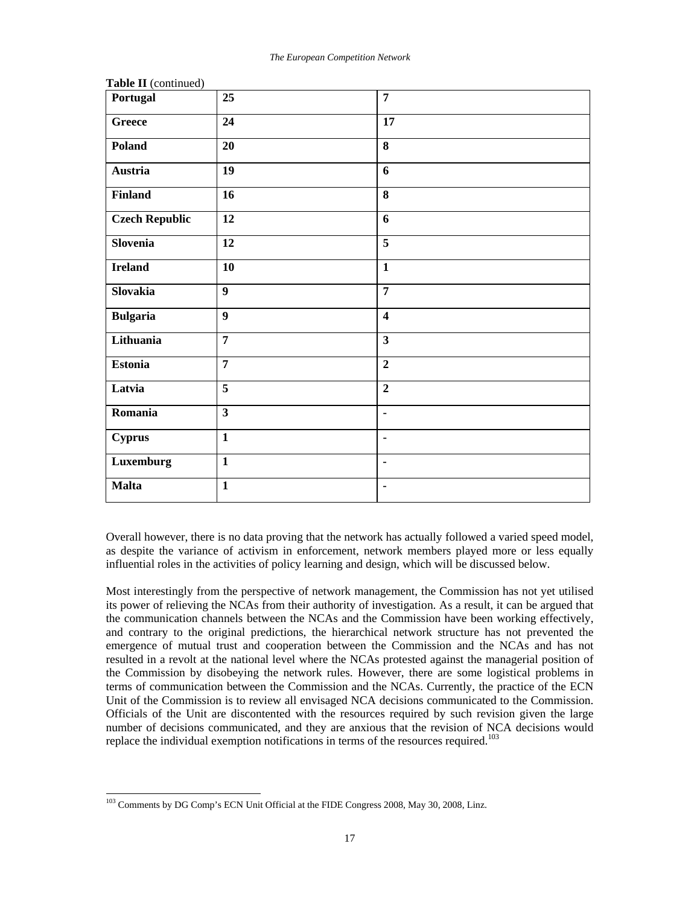| Portugal              | 25                      | $\overline{7}$          |
|-----------------------|-------------------------|-------------------------|
| <b>Greece</b>         | 24                      | 17                      |
| Poland                | 20                      | $\overline{\mathbf{8}}$ |
| <b>Austria</b>        | 19                      | 6                       |
| <b>Finland</b>        | 16                      | 8                       |
| <b>Czech Republic</b> | 12                      | 6                       |
| <b>Slovenia</b>       | 12                      | 5                       |
| <b>Ireland</b>        | 10                      | $\mathbf{1}$            |
| <b>Slovakia</b>       | $\overline{9}$          | $\overline{7}$          |
| <b>Bulgaria</b>       | $\boldsymbol{9}$        | $\overline{\mathbf{4}}$ |
| Lithuania             | $\overline{7}$          | $\overline{\mathbf{3}}$ |
| <b>Estonia</b>        | $\overline{7}$          | $\overline{2}$          |
| Latvia                | 5                       | $\overline{2}$          |
| Romania               | $\overline{\mathbf{3}}$ | $\blacksquare$          |
| <b>Cyprus</b>         | $\mathbf{1}$            | $\blacksquare$          |
| Luxemburg             | $\overline{\mathbf{1}}$ | $\blacksquare$          |
| <b>Malta</b>          | $\mathbf{1}$            | $\blacksquare$          |

**Table II** (continued)

 $\overline{a}$ 

Overall however, there is no data proving that the network has actually followed a varied speed model, as despite the variance of activism in enforcement, network members played more or less equally influential roles in the activities of policy learning and design, which will be discussed below.

Most interestingly from the perspective of network management, the Commission has not yet utilised its power of relieving the NCAs from their authority of investigation. As a result, it can be argued that the communication channels between the NCAs and the Commission have been working effectively, and contrary to the original predictions, the hierarchical network structure has not prevented the emergence of mutual trust and cooperation between the Commission and the NCAs and has not resulted in a revolt at the national level where the NCAs protested against the managerial position of the Commission by disobeying the network rules. However, there are some logistical problems in terms of communication between the Commission and the NCAs. Currently, the practice of the ECN Unit of the Commission is to review all envisaged NCA decisions communicated to the Commission. Officials of the Unit are discontented with the resources required by such revision given the large number of decisions communicated, and they are anxious that the revision of NCA decisions would replace the individual exemption notifications in terms of the resources required.<sup>103</sup>

<sup>&</sup>lt;sup>103</sup> Comments by DG Comp's ECN Unit Official at the FIDE Congress 2008, May 30, 2008, Linz.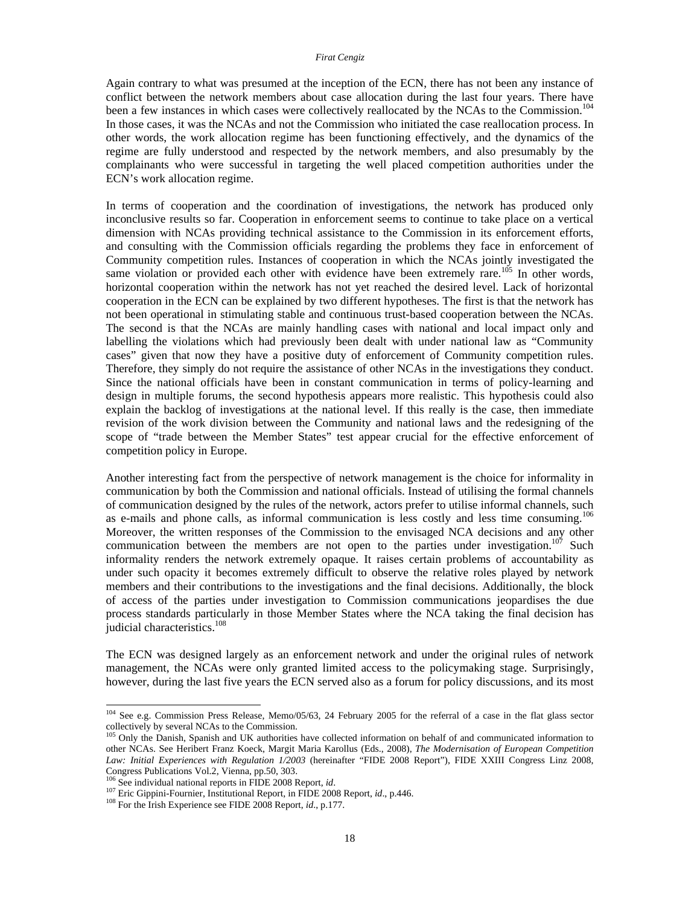Again contrary to what was presumed at the inception of the ECN, there has not been any instance of conflict between the network members about case allocation during the last four years. There have been a few instances in which cases were collectively reallocated by the NCAs to the Commission.<sup>104</sup> In those cases, it was the NCAs and not the Commission who initiated the case reallocation process. In other words, the work allocation regime has been functioning effectively, and the dynamics of the regime are fully understood and respected by the network members, and also presumably by the complainants who were successful in targeting the well placed competition authorities under the ECN's work allocation regime.

In terms of cooperation and the coordination of investigations, the network has produced only inconclusive results so far. Cooperation in enforcement seems to continue to take place on a vertical dimension with NCAs providing technical assistance to the Commission in its enforcement efforts, and consulting with the Commission officials regarding the problems they face in enforcement of Community competition rules. Instances of cooperation in which the NCAs jointly investigated the same violation or provided each other with evidence have been extremely rare.<sup>105</sup> In other words, horizontal cooperation within the network has not yet reached the desired level. Lack of horizontal cooperation in the ECN can be explained by two different hypotheses. The first is that the network has not been operational in stimulating stable and continuous trust-based cooperation between the NCAs. The second is that the NCAs are mainly handling cases with national and local impact only and labelling the violations which had previously been dealt with under national law as "Community cases" given that now they have a positive duty of enforcement of Community competition rules. Therefore, they simply do not require the assistance of other NCAs in the investigations they conduct. Since the national officials have been in constant communication in terms of policy-learning and design in multiple forums, the second hypothesis appears more realistic. This hypothesis could also explain the backlog of investigations at the national level. If this really is the case, then immediate revision of the work division between the Community and national laws and the redesigning of the scope of "trade between the Member States" test appear crucial for the effective enforcement of competition policy in Europe.

Another interesting fact from the perspective of network management is the choice for informality in communication by both the Commission and national officials. Instead of utilising the formal channels of communication designed by the rules of the network, actors prefer to utilise informal channels, such as e-mails and phone calls, as informal communication is less costly and less time consuming.<sup>106</sup> Moreover, the written responses of the Commission to the envisaged NCA decisions and any other communication between the members are not open to the parties under investigation.<sup>107</sup> Such informality renders the network extremely opaque. It raises certain problems of accountability as under such opacity it becomes extremely difficult to observe the relative roles played by network members and their contributions to the investigations and the final decisions. Additionally, the block of access of the parties under investigation to Commission communications jeopardises the due process standards particularly in those Member States where the NCA taking the final decision has judicial characteristics.<sup>108</sup>

The ECN was designed largely as an enforcement network and under the original rules of network management, the NCAs were only granted limited access to the policymaking stage. Surprisingly, however, during the last five years the ECN served also as a forum for policy discussions, and its most

<sup>&</sup>lt;sup>104</sup> See e.g. Commission Press Release, Memo/05/63, 24 February 2005 for the referral of a case in the flat glass sector collectively by several NCAs to the Commission.

<sup>&</sup>lt;sup>105</sup> Only the Danish, Spanish and UK authorities have collected information on behalf of and communicated information to other NCAs. See Heribert Franz Koeck, Margit Maria Karollus (Eds., 2008), *The Modernisation of European Competition Law: Initial Experiences with Regulation 1/2003* (hereinafter "FIDE 2008 Report"), FIDE XXIII Congress Linz 2008, Congress Publications Vol.2, Vienna, pp.50, 303.<br><sup>106</sup> See individual national reports in FIDE 2008 Report, *id*.

<sup>&</sup>lt;sup>107</sup> Eric Gippini-Fournier, Institutional Report, in FIDE 2008 Report, *id.*, p.446.<br><sup>108</sup> For the Irish Experience see FIDE 2008 Report, *id.*, p.177.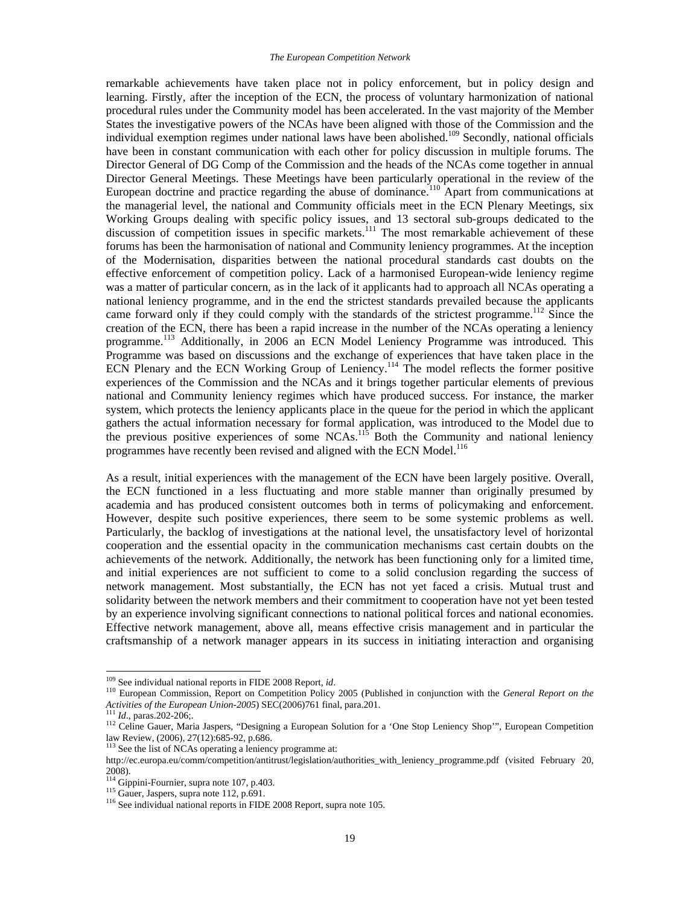remarkable achievements have taken place not in policy enforcement, but in policy design and learning. Firstly, after the inception of the ECN, the process of voluntary harmonization of national procedural rules under the Community model has been accelerated. In the vast majority of the Member States the investigative powers of the NCAs have been aligned with those of the Commission and the individual exemption regimes under national laws have been abolished.<sup>109</sup> Secondly, national officials have been in constant communication with each other for policy discussion in multiple forums. The Director General of DG Comp of the Commission and the heads of the NCAs come together in annual Director General Meetings. These Meetings have been particularly operational in the review of the European doctrine and practice regarding the abuse of dominance.<sup>110</sup> Apart from communications at the managerial level, the national and Community officials meet in the ECN Plenary Meetings, six Working Groups dealing with specific policy issues, and 13 sectoral sub-groups dedicated to the discussion of competition issues in specific markets.<sup>111</sup> The most remarkable achievement of these forums has been the harmonisation of national and Community leniency programmes. At the inception of the Modernisation, disparities between the national procedural standards cast doubts on the effective enforcement of competition policy. Lack of a harmonised European-wide leniency regime was a matter of particular concern, as in the lack of it applicants had to approach all NCAs operating a national leniency programme, and in the end the strictest standards prevailed because the applicants came forward only if they could comply with the standards of the strictest programme.<sup>112</sup> Since the creation of the ECN, there has been a rapid increase in the number of the NCAs operating a leniency programme.113 Additionally, in 2006 an ECN Model Leniency Programme was introduced. This Programme was based on discussions and the exchange of experiences that have taken place in the ECN Plenary and the ECN Working Group of Leniency.<sup>114</sup> The model reflects the former positive experiences of the Commission and the NCAs and it brings together particular elements of previous national and Community leniency regimes which have produced success. For instance, the marker system, which protects the leniency applicants place in the queue for the period in which the applicant gathers the actual information necessary for formal application, was introduced to the Model due to the previous positive experiences of some NCAs.<sup>115</sup> Both the Community and national leniency programmes have recently been revised and aligned with the ECN Model.<sup>116</sup>

As a result, initial experiences with the management of the ECN have been largely positive. Overall, the ECN functioned in a less fluctuating and more stable manner than originally presumed by academia and has produced consistent outcomes both in terms of policymaking and enforcement. However, despite such positive experiences, there seem to be some systemic problems as well. Particularly, the backlog of investigations at the national level, the unsatisfactory level of horizontal cooperation and the essential opacity in the communication mechanisms cast certain doubts on the achievements of the network. Additionally, the network has been functioning only for a limited time, and initial experiences are not sufficient to come to a solid conclusion regarding the success of network management. Most substantially, the ECN has not yet faced a crisis. Mutual trust and solidarity between the network members and their commitment to cooperation have not yet been tested by an experience involving significant connections to national political forces and national economies. Effective network management, above all, means effective crisis management and in particular the craftsmanship of a network manager appears in its success in initiating interaction and organising

 $109$  See individual national reports in FIDE 2008 Report, id.

<sup>&</sup>lt;sup>110</sup> European Commission, Report on Competition Policy 2005 (Published in conjunction with the *General Report on the Activities of the European Union-2005*) SEC(2006)761 final, para.201.

 $^{111}$  *Id.*, paras.202-206;<br><sup>112</sup> Celine Gauer, Maria Jaspers, "Designing a European Solution for a 'One Stop Leniency Shop'", European Competition law Review, (2006), 27(12):685-92, p.686.

<sup>&</sup>lt;sup>113</sup> See the list of NCAs operating a leniency programme at:

http://ec.europa.eu/comm/competition/antitrust/legislation/authorities\_with\_leniency\_programme.pdf (visited February 20, 2008).<br><sup>114</sup> Gippini-Fournier, supra note 107, p.403.

<sup>&</sup>lt;sup>115</sup> Gauer, Jaspers, supra note 112, p.691.<br><sup>116</sup> See individual national reports in FIDE 2008 Report, supra note 105.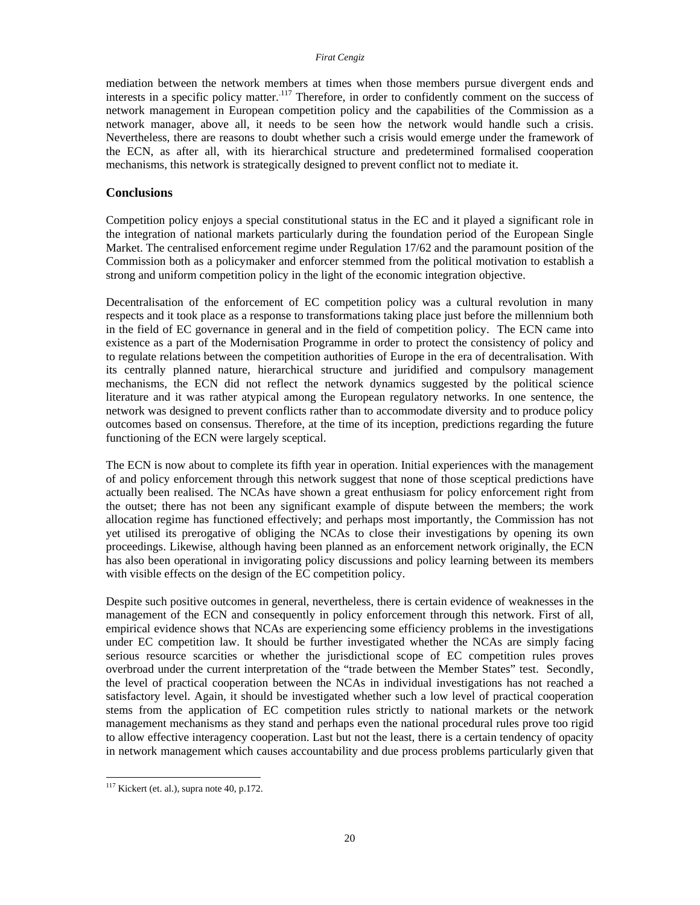mediation between the network members at times when those members pursue divergent ends and interests in a specific policy matter..117 Therefore, in order to confidently comment on the success of network management in European competition policy and the capabilities of the Commission as a network manager, above all, it needs to be seen how the network would handle such a crisis. Nevertheless, there are reasons to doubt whether such a crisis would emerge under the framework of the ECN, as after all, with its hierarchical structure and predetermined formalised cooperation mechanisms, this network is strategically designed to prevent conflict not to mediate it.

### **Conclusions**

Competition policy enjoys a special constitutional status in the EC and it played a significant role in the integration of national markets particularly during the foundation period of the European Single Market. The centralised enforcement regime under Regulation 17/62 and the paramount position of the Commission both as a policymaker and enforcer stemmed from the political motivation to establish a strong and uniform competition policy in the light of the economic integration objective.

Decentralisation of the enforcement of EC competition policy was a cultural revolution in many respects and it took place as a response to transformations taking place just before the millennium both in the field of EC governance in general and in the field of competition policy. The ECN came into existence as a part of the Modernisation Programme in order to protect the consistency of policy and to regulate relations between the competition authorities of Europe in the era of decentralisation. With its centrally planned nature, hierarchical structure and juridified and compulsory management mechanisms, the ECN did not reflect the network dynamics suggested by the political science literature and it was rather atypical among the European regulatory networks. In one sentence, the network was designed to prevent conflicts rather than to accommodate diversity and to produce policy outcomes based on consensus. Therefore, at the time of its inception, predictions regarding the future functioning of the ECN were largely sceptical.

The ECN is now about to complete its fifth year in operation. Initial experiences with the management of and policy enforcement through this network suggest that none of those sceptical predictions have actually been realised. The NCAs have shown a great enthusiasm for policy enforcement right from the outset; there has not been any significant example of dispute between the members; the work allocation regime has functioned effectively; and perhaps most importantly, the Commission has not yet utilised its prerogative of obliging the NCAs to close their investigations by opening its own proceedings. Likewise, although having been planned as an enforcement network originally, the ECN has also been operational in invigorating policy discussions and policy learning between its members with visible effects on the design of the EC competition policy.

Despite such positive outcomes in general, nevertheless, there is certain evidence of weaknesses in the management of the ECN and consequently in policy enforcement through this network. First of all, empirical evidence shows that NCAs are experiencing some efficiency problems in the investigations under EC competition law. It should be further investigated whether the NCAs are simply facing serious resource scarcities or whether the jurisdictional scope of EC competition rules proves overbroad under the current interpretation of the "trade between the Member States" test. Secondly, the level of practical cooperation between the NCAs in individual investigations has not reached a satisfactory level. Again, it should be investigated whether such a low level of practical cooperation stems from the application of EC competition rules strictly to national markets or the network management mechanisms as they stand and perhaps even the national procedural rules prove too rigid to allow effective interagency cooperation. Last but not the least, there is a certain tendency of opacity in network management which causes accountability and due process problems particularly given that

 $\overline{a}$  $117$  Kickert (et. al.), supra note 40, p.172.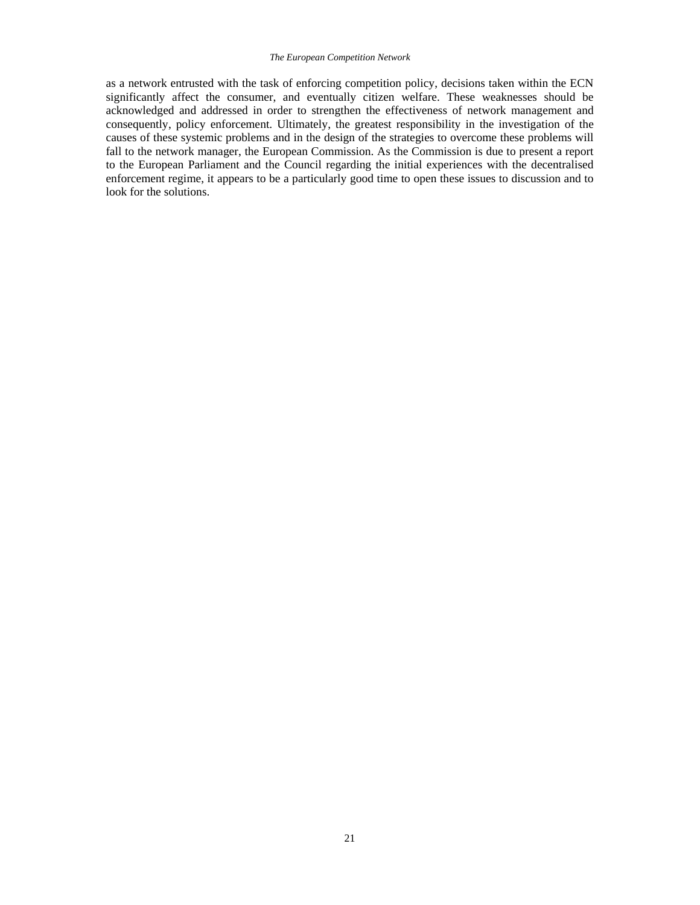#### *The European Competition Network*

as a network entrusted with the task of enforcing competition policy, decisions taken within the ECN significantly affect the consumer, and eventually citizen welfare. These weaknesses should be acknowledged and addressed in order to strengthen the effectiveness of network management and consequently, policy enforcement. Ultimately, the greatest responsibility in the investigation of the causes of these systemic problems and in the design of the strategies to overcome these problems will fall to the network manager, the European Commission. As the Commission is due to present a report to the European Parliament and the Council regarding the initial experiences with the decentralised enforcement regime, it appears to be a particularly good time to open these issues to discussion and to look for the solutions.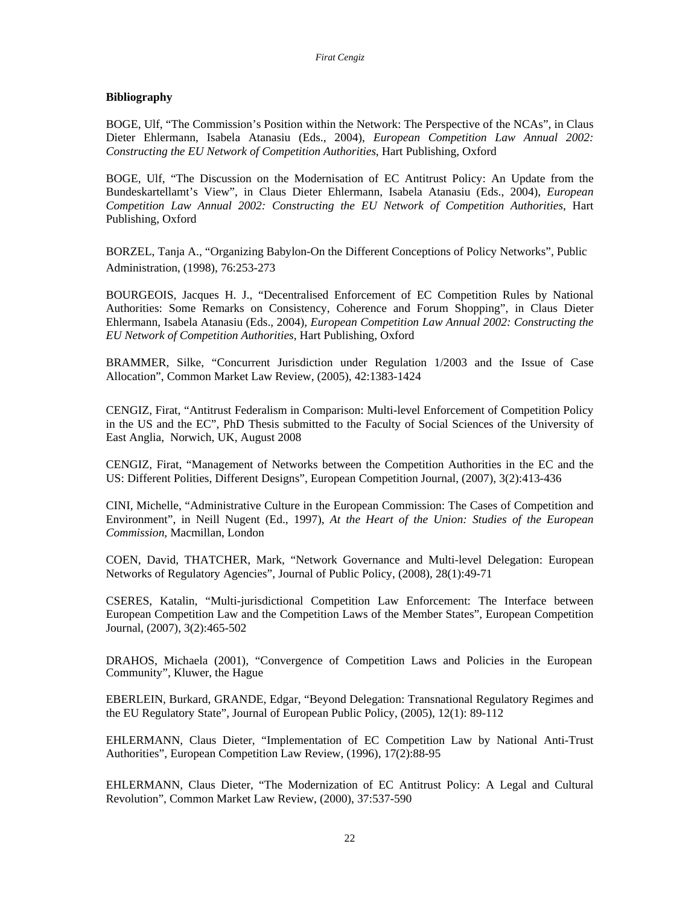## **Bibliography**

BOGE, Ulf, "The Commission's Position within the Network: The Perspective of the NCAs", in Claus Dieter Ehlermann, Isabela Atanasiu (Eds., 2004), *European Competition Law Annual 2002: Constructing the EU Network of Competition Authorities*, Hart Publishing, Oxford

BOGE, Ulf, "The Discussion on the Modernisation of EC Antitrust Policy: An Update from the Bundeskartellamt's View", in Claus Dieter Ehlermann, Isabela Atanasiu (Eds., 2004), *European Competition Law Annual 2002: Constructing the EU Network of Competition Authorities*, Hart Publishing, Oxford

BORZEL, Tanja A., "Organizing Babylon-On the Different Conceptions of Policy Networks", Public Administration, (1998), 76:253-273

BOURGEOIS, Jacques H. J., "Decentralised Enforcement of EC Competition Rules by National Authorities: Some Remarks on Consistency, Coherence and Forum Shopping", in Claus Dieter Ehlermann, Isabela Atanasiu (Eds., 2004), *European Competition Law Annual 2002: Constructing the EU Network of Competition Authorities*, Hart Publishing, Oxford

BRAMMER, Silke, "Concurrent Jurisdiction under Regulation 1/2003 and the Issue of Case Allocation", Common Market Law Review, (2005), 42:1383-1424

CENGIZ, Firat, "Antitrust Federalism in Comparison: Multi-level Enforcement of Competition Policy in the US and the EC", PhD Thesis submitted to the Faculty of Social Sciences of the University of East Anglia, Norwich, UK, August 2008

CENGIZ, Firat, "Management of Networks between the Competition Authorities in the EC and the US: Different Polities, Different Designs", European Competition Journal, (2007), 3(2):413-436

CINI, Michelle, "Administrative Culture in the European Commission: The Cases of Competition and Environment", in Neill Nugent (Ed., 1997), *At the Heart of the Union: Studies of the European Commission*, Macmillan, London

COEN, David, THATCHER, Mark, "Network Governance and Multi-level Delegation: European Networks of Regulatory Agencies", Journal of Public Policy, (2008), 28(1):49-71

CSERES, Katalin, "Multi-jurisdictional Competition Law Enforcement: The Interface between European Competition Law and the Competition Laws of the Member States", European Competition Journal, (2007), 3(2):465-502

DRAHOS, Michaela (2001), "Convergence of Competition Laws and Policies in the European Community", Kluwer, the Hague

EBERLEIN, Burkard, GRANDE, Edgar, "Beyond Delegation: Transnational Regulatory Regimes and the EU Regulatory State", Journal of European Public Policy, (2005), 12(1): 89-112

EHLERMANN, Claus Dieter, "Implementation of EC Competition Law by National Anti-Trust Authorities", European Competition Law Review, (1996), 17(2):88-95

EHLERMANN, Claus Dieter, "The Modernization of EC Antitrust Policy: A Legal and Cultural Revolution", Common Market Law Review, (2000), 37:537-590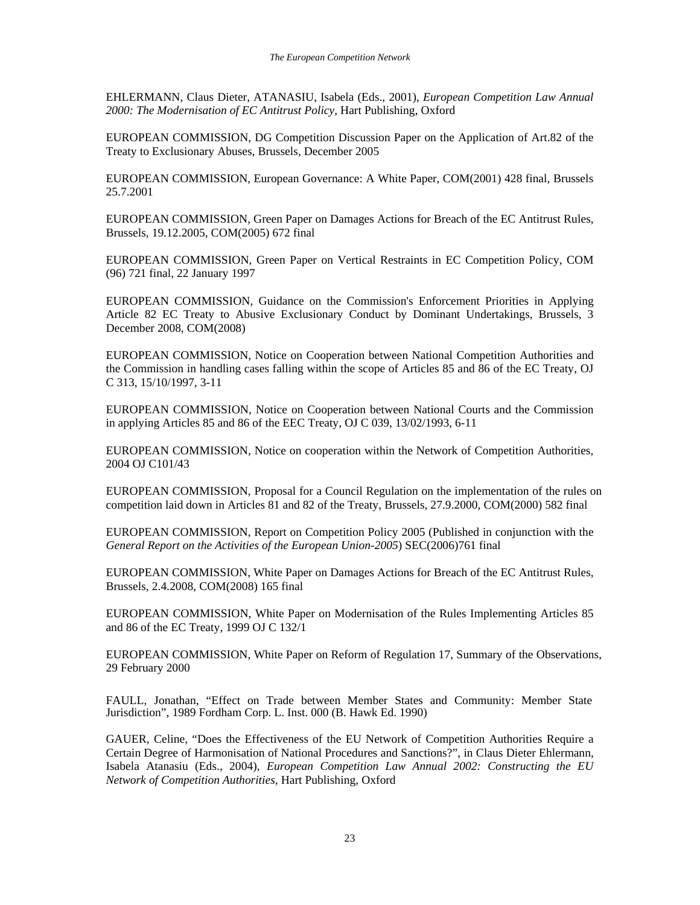EHLERMANN, Claus Dieter, ATANASIU, Isabela (Eds., 2001), *European Competition Law Annual 2000: The Modernisation of EC Antitrust Policy*, Hart Publishing, Oxford

EUROPEAN COMMISSION, DG Competition Discussion Paper on the Application of Art.82 of the Treaty to Exclusionary Abuses, Brussels, December 2005

EUROPEAN COMMISSION, European Governance: A White Paper, COM(2001) 428 final, Brussels 25.7.2001

EUROPEAN COMMISSION, Green Paper on Damages Actions for Breach of the EC Antitrust Rules, Brussels, 19.12.2005, COM(2005) 672 final

EUROPEAN COMMISSION, Green Paper on Vertical Restraints in EC Competition Policy, COM (96) 721 final, 22 January 1997

EUROPEAN COMMISSION, Guidance on the Commission's Enforcement Priorities in Applying Article 82 EC Treaty to Abusive Exclusionary Conduct by Dominant Undertakings, Brussels, 3 December 2008, COM(2008)

EUROPEAN COMMISSION, Notice on Cooperation between National Competition Authorities and the Commission in handling cases falling within the scope of Articles 85 and 86 of the EC Treaty, OJ C 313, 15/10/1997, 3-11

EUROPEAN COMMISSION, Notice on Cooperation between National Courts and the Commission in applying Articles 85 and 86 of the EEC Treaty, OJ C 039, 13/02/1993, 6-11

EUROPEAN COMMISSION, Notice on cooperation within the Network of Competition Authorities, 2004 OJ C101/43

EUROPEAN COMMISSION, Proposal for a Council Regulation on the implementation of the rules on competition laid down in Articles 81 and 82 of the Treaty, Brussels, 27.9.2000, COM(2000) 582 final

EUROPEAN COMMISSION, Report on Competition Policy 2005 (Published in conjunction with the *General Report on the Activities of the European Union-2005*) SEC(2006)761 final

EUROPEAN COMMISSION, White Paper on Damages Actions for Breach of the EC Antitrust Rules, Brussels, 2.4.2008, COM(2008) 165 final

EUROPEAN COMMISSION, White Paper on Modernisation of the Rules Implementing Articles 85 and 86 of the EC Treaty, 1999 OJ C 132/1

EUROPEAN COMMISSION, White Paper on Reform of Regulation 17, Summary of the Observations, 29 February 2000

FAULL, Jonathan, "Effect on Trade between Member States and Community: Member State Jurisdiction", 1989 Fordham Corp. L. Inst. 000 (B. Hawk Ed. 1990)

GAUER, Celine, "Does the Effectiveness of the EU Network of Competition Authorities Require a Certain Degree of Harmonisation of National Procedures and Sanctions?", in Claus Dieter Ehlermann, Isabela Atanasiu (Eds., 2004), *European Competition Law Annual 2002: Constructing the EU Network of Competition Authorities*, Hart Publishing, Oxford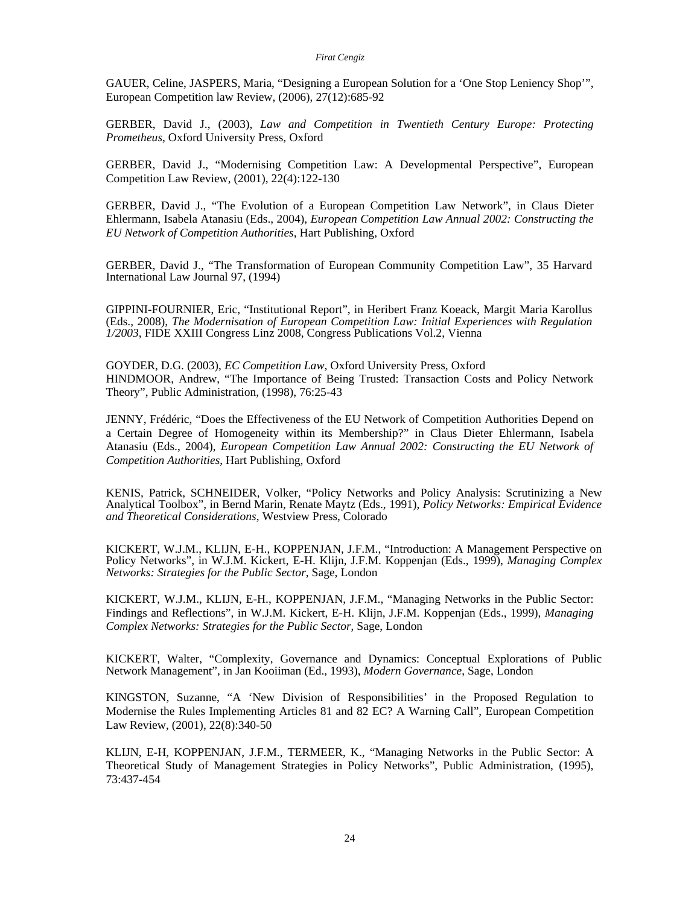GAUER, Celine, JASPERS, Maria, "Designing a European Solution for a 'One Stop Leniency Shop'", European Competition law Review, (2006), 27(12):685-92

GERBER, David J., (2003), *Law and Competition in Twentieth Century Europe: Protecting Prometheus*, Oxford University Press, Oxford

GERBER, David J., "Modernising Competition Law: A Developmental Perspective", European Competition Law Review, (2001), 22(4):122-130

GERBER, David J., "The Evolution of a European Competition Law Network", in Claus Dieter Ehlermann, Isabela Atanasiu (Eds., 2004), *European Competition Law Annual 2002: Constructing the EU Network of Competition Authorities*, Hart Publishing, Oxford

GERBER, David J., "The Transformation of European Community Competition Law", 35 Harvard International Law Journal 97, (1994)

GIPPINI-FOURNIER, Eric, "Institutional Report", in Heribert Franz Koeack, Margit Maria Karollus (Eds., 2008), *The Modernisation of European Competition Law: Initial Experiences with Regulation 1/2003*, FIDE XXIII Congress Linz 2008, Congress Publications Vol.2, Vienna

GOYDER, D.G. (2003), *EC Competition Law*, Oxford University Press, Oxford HINDMOOR, Andrew, "The Importance of Being Trusted: Transaction Costs and Policy Network Theory", Public Administration, (1998), 76:25-43

JENNY, Frédéric, "Does the Effectiveness of the EU Network of Competition Authorities Depend on a Certain Degree of Homogeneity within its Membership?" in Claus Dieter Ehlermann, Isabela Atanasiu (Eds., 2004), *European Competition Law Annual 2002: Constructing the EU Network of Competition Authorities*, Hart Publishing, Oxford

 KENIS, Patrick, SCHNEIDER, Volker, "Policy Networks and Policy Analysis: Scrutinizing a New Analytical Toolbox", in Bernd Marin, Renate Maytz (Eds., 1991), *Policy Networks: Empirical Evidence and Theoretical Considerations*, Westview Press, Colorado

KICKERT, W.J.M., KLIJN, E-H., KOPPENJAN, J.F.M., "Introduction: A Management Perspective on Policy Networks", in W.J.M. Kickert, E-H. Klijn, J.F.M. Koppenjan (Eds., 1999), *Managing Complex Networks: Strategies for the Public Sector*, Sage, London

KICKERT, W.J.M., KLIJN, E-H., KOPPENJAN, J.F.M., "Managing Networks in the Public Sector: Findings and Reflections", in W.J.M. Kickert, E-H. Klijn, J.F.M. Koppenjan (Eds., 1999), *Managing Complex Networks: Strategies for the Public Sector*, Sage, London

KICKERT, Walter, "Complexity, Governance and Dynamics: Conceptual Explorations of Public Network Management", in Jan Kooiiman (Ed., 1993), *Modern Governance*, Sage, London

KINGSTON, Suzanne, "A 'New Division of Responsibilities' in the Proposed Regulation to Modernise the Rules Implementing Articles 81 and 82 EC? A Warning Call", European Competition Law Review, (2001), 22(8):340-50

KLIJN, E-H, KOPPENJAN, J.F.M., TERMEER, K., "Managing Networks in the Public Sector: A Theoretical Study of Management Strategies in Policy Networks", Public Administration, (1995), 73:437-454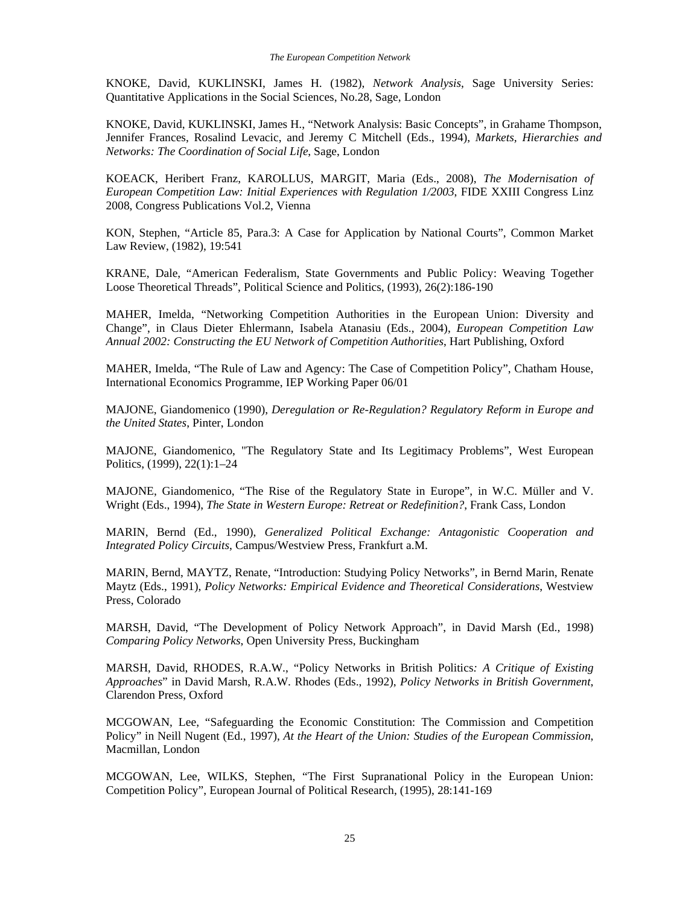KNOKE, David, KUKLINSKI, James H. (1982), *Network Analysis*, Sage University Series: Quantitative Applications in the Social Sciences, No.28, Sage, London

KNOKE, David, KUKLINSKI, James H., "Network Analysis: Basic Concepts", in Grahame Thompson, Jennifer Frances, Rosalind Levacic, and Jeremy C Mitchell (Eds., 1994), *Markets, Hierarchies and Networks: The Coordination of Social Life*, Sage, London

KOEACK, Heribert Franz, KAROLLUS, MARGIT, Maria (Eds., 2008), *The Modernisation of European Competition Law: Initial Experiences with Regulation 1/2003*, FIDE XXIII Congress Linz 2008, Congress Publications Vol.2, Vienna

KON, Stephen, "Article 85, Para.3: A Case for Application by National Courts", Common Market Law Review, (1982), 19:541

KRANE, Dale, "American Federalism, State Governments and Public Policy: Weaving Together Loose Theoretical Threads", Political Science and Politics, (1993), 26(2):186-190

MAHER, Imelda, "Networking Competition Authorities in the European Union: Diversity and Change", in Claus Dieter Ehlermann, Isabela Atanasiu (Eds., 2004), *European Competition Law Annual 2002: Constructing the EU Network of Competition Authorities*, Hart Publishing, Oxford

MAHER, Imelda, "The Rule of Law and Agency: The Case of Competition Policy", Chatham House, International Economics Programme, IEP Working Paper 06/01

MAJONE, Giandomenico (1990), *Deregulation or Re-Regulation? Regulatory Reform in Europe and the United States*, Pinter, London

MAJONE, Giandomenico, "The Regulatory State and Its Legitimacy Problems", West European Politics, (1999), 22(1):1–24

MAJONE, Giandomenico, "The Rise of the Regulatory State in Europe", in W.C. Müller and V. Wright (Eds., 1994), *The State in Western Europe: Retreat or Redefinition?*, Frank Cass, London

MARIN, Bernd (Ed., 1990), *Generalized Political Exchange: Antagonistic Cooperation and Integrated Policy Circuits*, Campus/Westview Press, Frankfurt a.M.

MARIN, Bernd, MAYTZ, Renate, "Introduction: Studying Policy Networks", in Bernd Marin, Renate Maytz (Eds., 1991), *Policy Networks: Empirical Evidence and Theoretical Considerations*, Westview Press, Colorado

MARSH, David, "The Development of Policy Network Approach", in David Marsh (Ed., 1998) *Comparing Policy Networks*, Open University Press, Buckingham

MARSH, David, RHODES, R.A.W., "Policy Networks in British Politics*: A Critique of Existing Approaches*" in David Marsh, R.A.W. Rhodes (Eds., 1992), *Policy Networks in British Government*, Clarendon Press, Oxford

MCGOWAN, Lee, "Safeguarding the Economic Constitution: The Commission and Competition Policy" in Neill Nugent (Ed., 1997), *At the Heart of the Union: Studies of the European Commission*, Macmillan, London

MCGOWAN, Lee, WILKS, Stephen, "The First Supranational Policy in the European Union: Competition Policy", European Journal of Political Research, (1995), 28:141-169